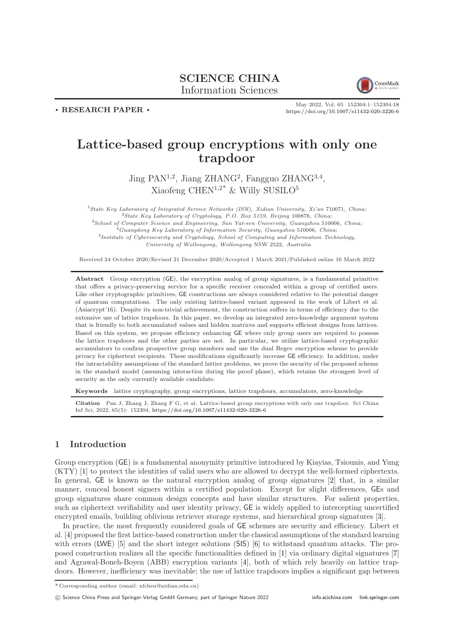# SCIENCE CHINA Information Sciences



. RESEARCH PAPER .

May 2022, Vol. 65 152304:1–152304[:18](#page-17-0) <https://doi.org/10.1007/s11432-020-3226-6>

# Lattice-based group encryptions with only one trapdoor

Jing PAN<sup>1,2</sup>, Jiang ZHANG<sup>2</sup>, Fangguo ZHANG<sup>3,4</sup>, Xiaofeng CHEN<sup>1,2\*</sup> & Willy SUSILO<sup>5</sup>

State Key Laboratory of Integrated Service Networks (ISN), Xidian University, Xi'an 710071, China; State Key Laboratory of Cryptology, P.O. Box 5159, Beijing 100878, China; School of Computer Science and Engineering, Sun Yat-sen University, Guangzhou 510006, China; Guangdong Key Laboratory of Information Security, Guangzhou 510006, China; <sup>5</sup>Institute of Cybersecurity and Cryptology, School of Computing and Information Technology, University of Wollongong, Wollongong NSW 2522, Australia

Received 24 October 2020/Revised 21 December 2020/Accepted 1 March 2021/Published online 16 March 2022

Abstract Group encryption (GE), the encryption analog of group signatures, is a fundamental primitive that offers a privacy-preserving service for a specific receiver concealed within a group of certified users. Like other cryptographic primitives, GE constructions are always considered relative to the potential danger of quantum computations. The only existing lattice-based variant appeared in the work of Libert et al. (Asiacrypt'16). Despite its non-trivial achievement, the construction suffers in terms of efficiency due to the extensive use of lattice trapdoors. In this paper, we develop an integrated zero-knowledge argument system that is friendly to both accumulated values and hidden matrices and supports efficient designs from lattices. Based on this system, we propose efficiency enhancing GE where only group users are required to possess the lattice trapdoors and the other parties are not. In particular, we utilize lattice-based cryptographic accumulators to confirm prospective group members and use the dual Regev encryption scheme to provide privacy for ciphertext recipients. These modifications significantly increase GE efficiency. In addition, under the intractability assumptions of the standard lattice problems, we prove the security of the proposed scheme in the standard model (assuming interaction during the proof phase), which retains the strongest level of security as the only currently available candidate.

Keywords lattice cryptography, group encryptions, lattice trapdoors, accumulators, zero-knowledge

Citation Pan J, Zhang J, Zhang F G, et al. Lattice-based group encryptions with only one trapdoor. Sci China Inf Sci, 2022, 65(5): 152304, <https://doi.org/10.1007/s11432-020-3226-6>

# 1 Introduction

Group encryption (GE) is a fundamental anonymity primitive introduced by Kiayias, Tsiounis, and Yung (KTY) [\[1\]](#page-15-0) to protect the identities of valid users who are allowed to decrypt the well-formed ciphertexts. In general, GE is known as the natural encryption analog of group signatures [\[2\]](#page-15-1) that, in a similar manner, conceal honest signers within a certified population. Except for slight differences, GEs and group signatures share common design concepts and have similar structures. For salient properties, such as ciphertext verifiability and user identity privacy, GE is widely applied to intercepting uncertified encrypted emails, building oblivious retriever storage systems, and hierarchical group signatures [\[3\]](#page-15-2).

In practice, the most frequently considered goals of GE schemes are security and efficiency. Libert et al. [\[4\]](#page-15-3) proposed the first lattice-based construction under the classical assumptions of the standard learning with errors (LWE) [\[5\]](#page-15-4) and the short integer solutions (SIS) [\[6\]](#page-16-0) to withstand quantum attacks. The proposed construction realizes all the specific functionalities defined in [\[1\]](#page-15-0) via ordinary digital signatures [\[7\]](#page-16-1) and Agrawal-Boneh-Boyen (ABB) encryption variants [\[4\]](#page-15-3), both of which rely heavily on lattice trapdoors. However, inefficiency was inevitable; the use of lattice trapdoors implies a significant gap between

<sup>\*</sup> Corresponding author (email: xfchen@xidian.edu.cn)

c Science China Press and Springer-Verlag GmbH Germany, part of Springer Nature 2022 <info.scichina.com><link.springer.com>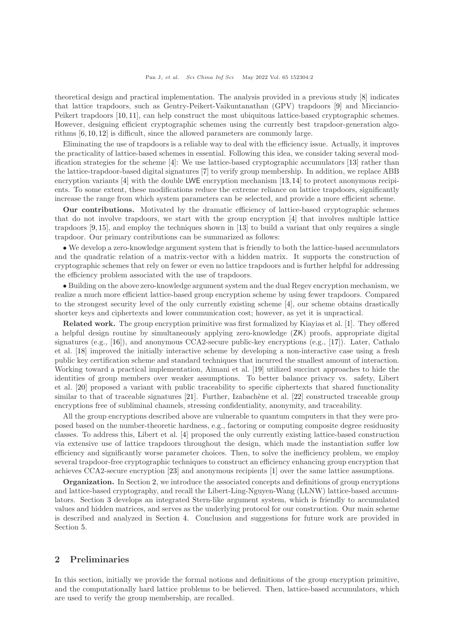theoretical design and practical implementation. The analysis provided in a previous study [\[8\]](#page-16-2) indicates that lattice trapdoors, such as Gentry-Peikert-Vaikuntanathan (GPV) trapdoors [\[9\]](#page-16-3) and Micciancio-Peikert trapdoors [\[10,](#page-16-4) [11\]](#page-16-5), can help construct the most ubiquitous lattice-based cryptographic schemes. However, designing efficient cryptographic schemes using the currently best trapdoor-generation algorithms [\[6,](#page-16-0) [10,](#page-16-4) [12\]](#page-16-6) is difficult, since the allowed parameters are commonly large.

Eliminating the use of trapdoors is a reliable way to deal with the efficiency issue. Actually, it improves the practicality of lattice-based schemes in essential. Following this idea, we consider taking several modification strategies for the scheme [\[4\]](#page-15-3): We use lattice-based cryptographic accumulators [\[13\]](#page-16-7) rather than the lattice-trapdoor-based digital signatures [\[7\]](#page-16-1) to verify group membership. In addition, we replace ABB encryption variants  $[4]$  with the double LWE encryption mechanism  $[13,14]$  $[13,14]$  to protect anonymous recipients. To some extent, these modifications reduce the extreme reliance on lattice trapdoors, significantly increase the range from which system parameters can be selected, and provide a more efficient scheme.

Our contributions. Motivated by the dramatic efficiency of lattice-based cryptographic schemes that do not involve trapdoors, we start with the group encryption [\[4\]](#page-15-3) that involves multiple lattice trapdoors [\[9,](#page-16-3) [15\]](#page-16-9), and employ the techniques shown in [\[13\]](#page-16-7) to build a variant that only requires a single trapdoor. Our primary contributions can be summarized as follows:

• We develop a zero-knowledge argument system that is friendly to both the lattice-based accumulators and the quadratic relation of a matrix-vector with a hidden matrix. It supports the construction of cryptographic schemes that rely on fewer or even no lattice trapdoors and is further helpful for addressing the efficiency problem associated with the use of trapdoors.

• Building on the above zero-knowledge argument system and the dual Regev encryption mechanism, we realize a much more efficient lattice-based group encryption scheme by using fewer trapdoors. Compared to the strongest security level of the only currently existing scheme [\[4\]](#page-15-3), our scheme obtains drastically shorter keys and ciphertexts and lower communication cost; however, as yet it is unpractical.

Related work. The group encryption primitive was first formalized by Kiayias et al. [\[1\]](#page-15-0). They offered a helpful design routine by simultaneously applying zero-knowledge (ZK) proofs, appropriate digital signatures (e.g., [\[16\]](#page-16-10)), and anonymous CCA2-secure public-key encryptions (e.g., [\[17\]](#page-16-11)). Later, Cathalo et al. [\[18\]](#page-16-12) improved the initially interactive scheme by developing a non-interactive case using a fresh public key certification scheme and standard techniques that incurred the smallest amount of interaction. Working toward a practical implementation, Aimani et al. [\[19\]](#page-16-13) utilized succinct approaches to hide the identities of group members over weaker assumptions. To better balance privacy vs. safety, Libert et al. [\[20\]](#page-16-14) proposed a variant with public traceability to specific ciphertexts that shared functionality similar to that of traceable signatures  $[21]$ . Further, Izabachène et al.  $[22]$  constructed traceable group encryptions free of subliminal channels, stressing confidentiality, anonymity, and traceability.

All the group encryptions described above are vulnerable to quantum computers in that they were proposed based on the number-theoretic hardness, e.g., factoring or computing composite degree residuosity classes. To address this, Libert et al. [\[4\]](#page-15-3) proposed the only currently existing lattice-based construction via extensive use of lattice trapdoors throughout the design, which made the instantiation suffer low efficiency and significantly worse parameter choices. Then, to solve the inefficiency problem, we employ several trapdoor-free cryptographic techniques to construct an efficiency enhancing group encryption that achieves CCA2-secure encryption [\[23\]](#page-16-17) and anonymous recipients [\[1\]](#page-15-0) over the same lattice assumptions.

Organization. In Section [2,](#page-1-0) we introduce the associated concepts and definitions of group encryptions and lattice-based cryptography, and recall the Libert-Ling-Nguyen-Wang (LLNW) lattice-based accumulators. Section [3](#page-3-0) develops an integrated Stern-like argument system, which is friendly to accumulated values and hidden matrices, and serves as the underlying protocol for our construction. Our main scheme is described and analyzed in Section [4.](#page-8-0) Conclusion and suggestions for future work are provided in Section [5.](#page-15-5)

# <span id="page-1-0"></span>2 Preliminaries

In this section, initially we provide the formal notions and definitions of the group encryption primitive, and the computationally hard lattice problems to be believed. Then, lattice-based accumulators, which are used to verify the group membership, are recalled.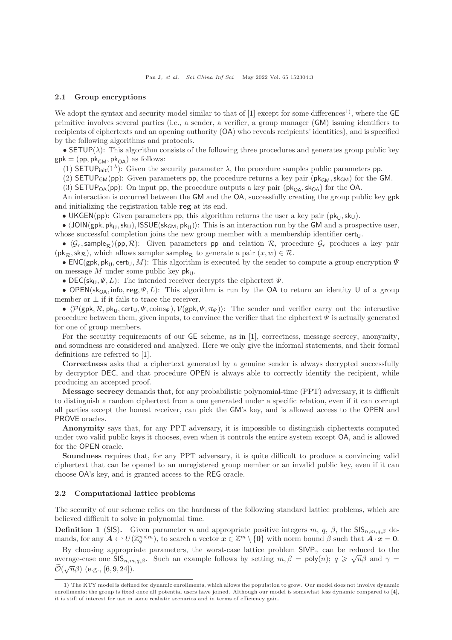#### 2.1 Group encryptions

We adopt the syntax and security model similar to that of [\[1\]](#page-15-0) except for some differences<sup>1)</sup>, where the  $\mathsf{GE}$ primitive involves several parties (i.e., a sender, a verifier, a group manager (GM) issuing identifiers to recipients of ciphertexts and an opening authority (OA) who reveals recipients' identities), and is specified by the following algorithms and protocols.

• SETUP( $\lambda$ ): This algorithm consists of the following three procedures and generates group public key  $gpk = (pp, pk_{GM}, pk_{OA})$  as follows:

(1) SETUP<sub>init</sub>(1<sup> $\lambda$ </sup>): Given the security parameter  $\lambda$ , the procedure samples public parameters pp.

(2) SETUP<sub>GM</sub>(pp): Given parameters pp, the procedure returns a key pair ( $pk_{GM}$ ,  $sk_{GM}$ ) for the GM.

(3) SETUP<sub>OA</sub>(pp): On input pp, the procedure outputs a key pair  $(\mathsf{pk}_{OA}, \mathsf{sk}_{OA})$  for the OA.

An interaction is occurred between the GM and the OA, successfully creating the group public key gpk and initializing the registration table reg at its end.

• UKGEN(pp): Given parameters pp, this algorithm returns the user a key pair  $(\mathsf{pk}_{\mathsf{U}},\mathsf{sk}_{\mathsf{U}})$ .

•  $\langle JON(gpk, pk<sub>U</sub>, sk<sub>U</sub>)$ , ISSUE(sk<sub>GM</sub>, pk<sub>U</sub>)): This is an interaction run by the GM and a prospective user, whose successful completion joins the new group member with a membership identifier  $cert<sub>U</sub>$ .

•  $\langle \mathcal{G}_r$ , sample<sub>R</sub>)(pp, R): Given parameters pp and relation R, procedure  $\mathcal{G}_r$  produces a key pair  $(\mathsf{pk}_{\mathcal{R}},\mathsf{sk}_{\mathcal{R}}),$  which allows sampler sample<sub>R</sub> to generate a pair  $(x, w) \in \mathcal{R}$ .

• ENC(gpk, pk<sub>U</sub>, cert<sub>U</sub>, M): This algorithm is executed by the sender to compute a group encryption  $\Psi$ on message M under some public key  $pk_{U}$ .

• DEC(sk<sub>U</sub>,  $\Psi$ , L): The intended receiver decrypts the ciphertext  $\Psi$ .

• OPEN(sk<sub>OA</sub>, info, reg,  $\Psi$ , L): This algorithm is run by the OA to return an identity U of a group member or  $\perp$  if it fails to trace the receiver.

•  $\langle \mathcal{P}(\mathsf{gpk}, \mathcal{R}, \mathsf{pk}_U, \mathsf{cert}_U, \Psi, \mathsf{coins}_{\Psi} \rangle, \mathcal{V}(\mathsf{gpk}, \Psi, \pi_{\Psi})\rangle$ : The sender and verifier carry out the interactive procedure between them, given inputs, to convince the verifier that the ciphertext  $\Psi$  is actually generated for one of group members.

For the security requirements of our GE scheme, as in [\[1\]](#page-15-0), correctness, message secrecy, anonymity, and soundness are considered and analyzed. Here we only give the informal statements, and their formal definitions are referred to [\[1\]](#page-15-0).

Correctness asks that a ciphertext generated by a genuine sender is always decrypted successfully by decryptor DEC, and that procedure OPEN is always able to correctly identify the recipient, while producing an accepted proof.

Message secrecy demands that, for any probabilistic polynomial-time (PPT) adversary, it is difficult to distinguish a random ciphertext from a one generated under a specific relation, even if it can corrupt all parties except the honest receiver, can pick the GM's key, and is allowed access to the OPEN and PROVE oracles.

Anonymity says that, for any PPT adversary, it is impossible to distinguish ciphertexts computed under two valid public keys it chooses, even when it controls the entire system except OA, and is allowed for the OPEN oracle.

Soundness requires that, for any PPT adversary, it is quite difficult to produce a convincing valid ciphertext that can be opened to an unregistered group member or an invalid public key, even if it can choose OA's key, and is granted access to the REG oracle.

#### 2.2 Computational lattice problems

The security of our scheme relies on the hardness of the following standard lattice problems, which are believed difficult to solve in polynomial time.

**Definition 1** (SIS). Given parameter n and appropriate positive integers m, q,  $\beta$ , the SIS<sub>n,m,q, $\beta$ </sub> demands, for any  $A \leftrightarrow U(\mathbb{Z}_q^{n \times m})$ , to search a vector  $x \in \mathbb{Z}^m \setminus \{0\}$  with norm bound  $\beta$  such that  $A \cdot x = 0$ .

By choosing appropriate parameters, the worst-case lattice problem  $SIVP_{\gamma}$  can be reduced to the average-case one  $\overrightarrow{\text{SIS}}_{n,m,q,\beta}$ . Such an example follows by setting  $m, \beta = \text{poly}(n); q \geq \sqrt{n}\beta$  and  $\gamma =$  $\widetilde{\mathcal{O}}(\sqrt{n}\beta)$  (e.g., [\[6,](#page-16-0)[9,](#page-16-3)[24\]](#page-16-18)).

<sup>1)</sup> The KTY model is defined for dynamic enrollments, which allows the population to grow. Our model does not involve dynamic enrollments; the group is fixed once all potential users have joined. Although our model is somewhat less dynamic compared to [\[4\]](#page-15-3), it is still of interest for use in some realistic scenarios and in terms of efficiency gain.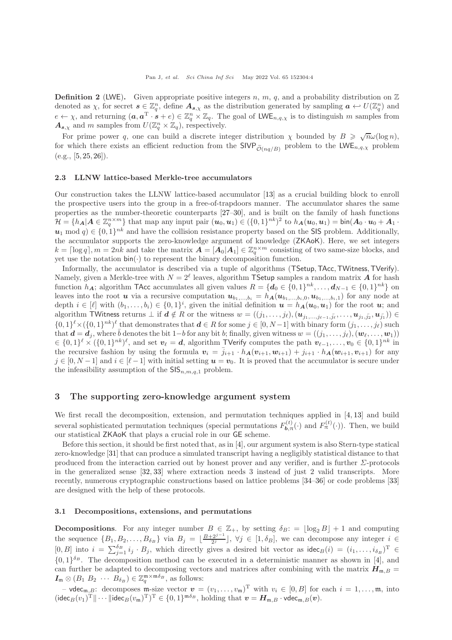**Definition 2** (LWE). Given appropriate positive integers n, m, q, and a probability distribution on  $\mathbb{Z}$ denoted as  $\chi$ , for secret  $s \in \mathbb{Z}_q^n$ , define  $A_{s,\chi}$  as the distribution generated by sampling  $a \leftarrow U(\mathbb{Z}_q^n)$  and  $e \leftarrow \chi$ , and returning  $(a, a^T \cdot s + e) \in \mathbb{Z}_q^n \times \mathbb{Z}_q$ . The goal of LWE<sub>n,q, $\chi$ </sub> is to distinguish m samples from  $A_{s,\chi}$  and m samples from  $U(\mathbb{Z}_q^n \times \mathbb{Z}_q)$ , respectively.

For prime power q, one can build a discrete integer distribution  $\chi$  bounded by  $B \geqslant \sqrt{n}\omega(\log n)$ , for which there exists an efficient reduction from the  $SIVP_{\tilde{O}(nq/B)}$  problem to the  $LWE_{n,q,\chi}$  problem  $(e.g., [5, 25, 26]).$  $(e.g., [5, 25, 26]).$  $(e.g., [5, 25, 26]).$  $(e.g., [5, 25, 26]).$  $(e.g., [5, 25, 26]).$  $(e.g., [5, 25, 26]).$  $(e.g., [5, 25, 26]).$ 

#### 2.3 LLNW lattice-based Merkle-tree accumulators

Our construction takes the LLNW lattice-based accumulator [\[13\]](#page-16-7) as a crucial building block to enroll the prospective users into the group in a free-of-trapdoors manner. The accumulator shares the same properties as the number-theoretic counterparts [\[27](#page-16-21)[–30\]](#page-16-22), and is built on the family of hash functions  $\mathcal{H} = \{h_{\mathbf{A}} | \mathbf{A} \in \mathbb{Z}_q^{n \times m}\}\$  that map any input pair  $(\mathbf{u}_0, \mathbf{u}_1) \in (\{0, 1\}^{nk})^2$  to  $h_{\mathbf{A}}(\mathbf{u}_0, \mathbf{u}_1) = \text{bin}(\mathbf{A}_0 \cdot \mathbf{u}_0 + \mathbf{A}_1 \cdot \mathbf{u}_1)$  $u_1 \mod q \in \{0,1\}^{nk}$  and have the collision resistance property based on the SIS problem. Additionally, the accumulator supports the zero-knowledge argument of knowledge (ZKAoK). Here, we set integers  $k = \lceil \log q \rceil, m = 2nk$  and take the matrix  $\mathbf{A} = \lceil \mathbf{A}_0 | \mathbf{A}_1 \rceil \in \mathbb{Z}_q^{n \times m}$  consisting of two same-size blocks, and yet use the notation  $\mathsf{bin}(\cdot)$  to represent the binary decomposition function.

Informally, the accumulator is described via a tuple of algorithms (TSetup,TAcc,TWitness,TVerify). Namely, given a Merkle-tree with  $N=2^{\ell}$  leaves, algorithm TSetup samples a random matrix A for hash function  $h_{\mathbf{A}}$ ; algorithm TAcc accumulates all given values  $R = \{d_0 \in \{0,1\}^{nk}, \ldots, d_{N-1} \in \{0,1\}^{nk}\}\$  on leaves into the root u via a recursive computation  $u_{b_1,...,b_i} = h_{\mathbf{A}}(u_{b_1,...,b_i,0}, u_{b_1,...,b_i,1})$  for any node at depth  $i \in [\ell]$  with  $(b_1, \ldots, b_i) \in \{0,1\}^i$ , given the initial definition  $u = h_A(u_0, u_1)$  for the root  $u$ ; and algorithm TWitness returns  $\perp$  if  $d \notin R$  or the witness  $w = ((j_1, \ldots, j_\ell), (\boldsymbol{u}_{j_1, \ldots, j_{\ell-1}, \bar{j_\ell}}, \ldots, \boldsymbol{u}_{j_1, \bar{j_2}}, \boldsymbol{u}_{\bar{j_1}})) \in$  $\{0,1\}^{\ell} \times (\{0,1\}^{nk})^{\ell}$  that demonstrates that  $\boldsymbol{d} \in R$  for some  $j \in [0,N-1]$  with binary form  $(j_1,\ldots,j_{\ell})$  such that  $\mathbf{d} = \mathbf{d}_j$ , where  $\bar{b}$  denotes the bit 1−b for any bit b; finally, given witness  $w = ((j_1, \ldots, j_\ell), (\mathbf{w}_\ell, \ldots, \mathbf{w}_1))$  $\mathcal{L} \in \{0,1\}^{\ell} \times (\{0,1\}^{nk})^{\ell}$ , and set  $v_{\ell} = d$ , algorithm TVerify computes the path  $v_{\ell-1}, \ldots, v_0 \in \{0,1\}^{nk}$  in the recursive fashion by using the formula  $v_i = \bar{j}_{i+1} \cdot h_{\mathbf{A}}(v_{i+1}, w_{i+1}) + j_{i+1} \cdot h_{\mathbf{A}}(w_{i+1}, v_{i+1})$  for any  $j \in [0, N-1]$  and  $i \in [\ell-1]$  with initial setting  $u = v_0$ . It is proved that the accumulator is secure under the infeasibility assumption of the  $\mathsf{SIS}_{n,m,q,1}$  problem.

# <span id="page-3-0"></span>3 The supporting zero-knowledge argument system

We first recall the decomposition, extension, and permutation techniques applied in [\[4,](#page-15-3) [13\]](#page-16-7) and build several sophisticated permutation techniques (special permutations  $F_{\mathbf{b},\pi}^{(t)}(\cdot)$  and  $F_{\pi}^{(t)}(\cdot)$ ). Then, we build our statistical ZKAoK that plays a crucial role in our GE scheme.

Before this section, it should be first noted that, as in [\[4\]](#page-15-3), our argument system is also Stern-type statical zero-knowledge [\[31\]](#page-16-23) that can produce a simulated transcript having a negligibly statistical distance to that produced from the interaction carried out by honest prover and any verifier, and is further  $\Sigma$ -protocols in the generalized sense [\[32,](#page-16-24) [33\]](#page-16-25) where extraction needs 3 instead of just 2 valid transcripts. More recently, numerous cryptographic constructions based on lattice problems [\[34](#page-16-26)[–36\]](#page-17-1) or code problems [\[33\]](#page-16-25) are designed with the help of these protocols.

#### <span id="page-3-1"></span>3.1 Decompositions, extensions, and permutations

**Decompositions.** For any integer number  $B \in \mathbb{Z}_+$ , by setting  $\delta_B := |\log_2 B| + 1$  and computing the sequence  $\{B_1, B_2, \ldots, B_{\delta_B}\}\$  via  $B_j = \lfloor \frac{B+2^{j-1}}{2^j} \rfloor$ ,  $\forall j \in [1, \delta_B]$ , we can decompose any integer  $i \in$  $[0, B]$  into  $i = \sum_{j=1}^{\delta_B} i_j \cdot B_j$ , which directly gives a desired bit vector as  $\text{idec}_B(i) = (i_1, \ldots, i_{\delta_B})^T \in$  $\{0,1\}^{\delta_B}$ . The decomposition method can be executed in a deterministic manner as shown in [\[4\]](#page-15-3), and can further be adapted to decomposing vectors and matrices after combining with the matrix  $H_{m,B}$  =  $I_{\mathfrak{m}} \otimes (B_1 \ B_2 \ \cdots \ \overline{B_{\delta_B}}) \in \mathbb{Z}_q^{\mathfrak{m} \times \mathfrak{m} \delta_B}$ , as follows:

– vdec<sub>m,B</sub>: decomposes m-size vector  $v = (v_1, \ldots, v_m)^T$  with  $v_i \in [0, B]$  for each  $i = 1, \ldots, m$ , into  $(\mathsf{idec}_B(v_1)^{\mathrm{T}} \|\cdots\|\mathsf{idec}_B(v_{\mathfrak{m}})^{\mathrm{T}})^{\mathrm{T}} \in \{0,1\}^{\mathfrak{m}\delta_B}, \text{ holding that } \boldsymbol{v} = \boldsymbol{H}_{\mathfrak{m},B} \cdot \mathsf{vdec}_{\mathfrak{m},B}(\boldsymbol{v}).$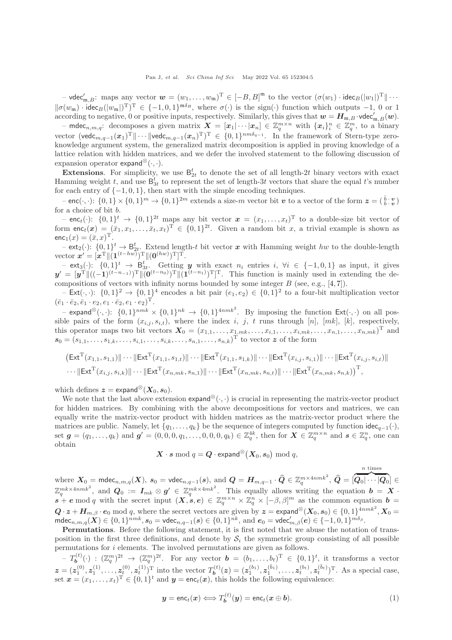$-$  vdec'<sub>m,B</sub>: maps any vector  $\mathbf{w} = (w_1, \dots, w_m)^T \in [-B, B]^m$  to the vector  $(\sigma(w_1) \cdot \text{idec}_B(|w_1|)^T \| \cdots$  $\|\sigma(w_m)\cdot \text{idec}_B(|w_m|)^T$ <sup>T</sup>  $\in \{-1,0,1\}^{m\delta_B}$ , where  $\sigma(\cdot)$  is the sign(·) function which outputs -1, 0 or 1 according to negative, 0 or positive inputs, respectively. Similarly, this gives that  $w = H_{m,B} \cdot \text{vdec}'_{m,B}(w)$ .

 $-$  mdec<sub>n,m,q</sub>: decomposes a given matrix  $\mathbf{X} = [\mathbf{x}_1 | \cdots | \mathbf{x}_n] \in \mathbb{Z}_q^{m \times n}$  with  $\{\mathbf{x}_i\}_{i}^{n} \in \mathbb{Z}_q^{m}$ , to a binary vector (vedc<sub>m,q−1</sub>( $x_1$ )<sup>T</sup> $\|\cdots\|$ vedc<sub>m,q−1</sub>( $x_n$ )<sup>T</sup>)<sup>T</sup> ∈ {0,1}<sup>nmδ<sub>q−1</sub></sup>. In the framework of Stern-type zeroknowledge argument system, the generalized matrix decomposition is applied in proving knowledge of a lattice relation with hidden matrices, and we defer the involved statement to the following discussion of expansion operator expand<sup>⊗</sup> $(\cdot, \cdot)$ .

**Extensions.** For simplicity, we use  $B_{2t}^t$  to denote the set of all length-2t binary vectors with exact Hamming weight t, and use  $\mathsf{B}^t_{3t}$  to represent the set of length-3t vectors that share the equal t's number for each entry of  $\{-1, 0, 1\}$ , then start with the simple encoding techniques.

 $-\text{enc}(\cdot, \cdot): \{0,1\} \times \{0,1\}^m \to \{0,1\}^{2m}$  extends a size-m vector bit v to a vector of the form  $\boldsymbol{z} = (\begin{bmatrix} \bar{b} \cdot \boldsymbol{v} \\ b \cdot \boldsymbol{v} \end{bmatrix})$ for a choice of bit b.

 $-$  enc<sub>t</sub>( $\cdot$ ):  $\{0,1\}$ <sup>t</sup>  $\rightarrow \{0,1\}$ <sup>2t</sup> maps any bit vector  $x = (x_1, \ldots, x_t)$ <sup>T</sup> to a double-size bit vector of form  $enc_t(x) = (\bar{x}_1, x_1, \ldots, \bar{x}_t, x_t)^T \in \{0, 1\}^{2t}$ . Given a random bit x, a trivial example is shown as  $enc_1(x) = (\bar{x}, x)^{\mathrm{T}}.$ 

 $-\text{ext}_2(\cdot): \{0,1\}^t \to \mathsf{B}_{2t}^t$ . Extend length-t bit vector x with Hamming weight hw to the double-length vector  $\mathbf{x}' = [\mathbf{x}^{\mathrm{T}} \| (\mathbf{1}^{(t-hw)})^{\mathrm{T}} \| (\mathbf{0}^{(hw)})^{\mathrm{T}} ]^{\mathrm{T}}.$ 

 $-$  ext<sub>3</sub>(·):  $\{0,1\}^t \rightarrow \mathbf{B}_{3t}^t$ . Getting y with exact  $n_i$  entries  $i, \forall i \in \{-1,0,1\}$  as input, it gives  $y' = [y^T \| ((-1)^{(t-n-1)})^T \| (0^{(t-n_0)})^T \| (1^{(t-n_1)})^T ]^T$ . This function is mainly used in extending the decompositions of vectors with infinity norms bounded by some integer  $B$  (see, e.g.,  $[4, 7]$  $[4, 7]$ ).

 $-$  Ext( $\cdot$ ,  $\cdot$ ):  $\{0,1\}^2 \rightarrow \{0,1\}^4$  encodes a bit pair  $(e_1,e_2) \in \{0,1\}^2$  to a four-bit multiplication vector  $(\bar{e}_1 \cdot \bar{e}_2, \bar{e}_1 \cdot e_2, e_1 \cdot \bar{e}_2, e_1 \cdot e_2)^{\mathrm{T}}.$ 

 $-$  expand<sup>⊗</sup>( $\cdot$ ,  $\cdot$ ):  $\{0,1\}^{nmk} \times \{0,1\}^{nk} \rightarrow \{0,1\}^{4nmk^2}$ . By imposing the function Ext( $\cdot$ ,  $\cdot$ ) on all possible pairs of the form  $(x_{i,j}, s_{i,t})$ , where the index i, j, t runs through [n], [mk], [k], respectively, this operator maps two bit vectors  $X_0 = (x_{1,1}, \ldots, x_{1,mk}, \ldots, x_{i,1}, \ldots, x_{i,mk}, \ldots, x_{n,1}, \ldots, x_{n,mk})^{\mathrm{T}}$  and  $s_0 = (s_{1,1}, \ldots, s_{1,k}, \ldots, s_{i,1}, \ldots, s_{i,k}, \ldots, s_{n,1}, \ldots, s_{n,k})^{\mathrm{T}}$  to vector z of the form

$$
(\mathsf{Ext}^{\mathrm{T}}(x_{1,1},s_{1,1})\|\cdots\|\mathsf{Ext}^{\mathrm{T}}(x_{1,1},s_{1,t})\|\cdots\|\mathsf{Ext}^{\mathrm{T}}(x_{1,1},s_{1,k})\|\cdots\|\mathsf{Ext}^{\mathrm{T}}(x_{i,j},s_{i,1})\|\cdots\|\mathsf{Ext}^{\mathrm{T}}(x_{i,j},s_{i,t})\|\cdots\|\mathsf{Ext}^{\mathrm{T}}(x_{i,j},s_{i,k})\|\cdots\|\mathsf{Ext}^{\mathrm{T}}(x_{n,mk},s_{n,1})\|\cdots\|\mathsf{Ext}^{\mathrm{T}}(x_{n,mk},s_{n,k})\|
$$

which defines  $z = \text{expand}^{\otimes}(X_0, s_0)$ .

We note that the last above extension expand<sup>⊗</sup>( $\cdot$ ,  $\cdot$ ) is crucial in representing the matrix-vector product for hidden matrices. By combining with the above decompositions for vectors and matrices, we can equally write the matrix-vector product with hidden matrices as the matrix-vector product where the matrices are public. Namely, let  $\{q_1, \ldots, q_k\}$  be the sequence of integers computed by function idec<sub>q−1</sub>(·), set  $g = (q_1, \ldots, q_k)$  and  $g' = (0, 0, 0, q_1, \ldots, 0, 0, 0, q_k) \in \mathbb{Z}_q^{4k}$ , then for  $X \in \mathbb{Z}_q^{m \times n}$  and  $s \in \mathbb{Z}_q^n$ , one can obtain

$$
\boldsymbol{X} \cdot \boldsymbol{s} \bmod q = \boldsymbol{Q} \cdot \mathsf{expand}^{\otimes}\big(\boldsymbol{X}_{0}, \boldsymbol{s}_{0}\big) \bmod q,
$$

where  $\bm{X}_0 = \mathsf{mdec}_{n,m,q}(\bm{X}), \ s_0 = \mathsf{vdec}_{n,q-1}(s), \text{ and } \bm{Q} = \bm{H}_{m,q-1} \cdot \widehat{\bm{Q}} \in \mathbb{Z}_q^{m \times 4nmk^2}, \ \widehat{\bm{Q}} = [\widehat{\bm{Q}_0 | \cdots | \bm{Q}_0}] \in \bm{Q}$ n times  $\mathbb{Z}_q^{mk \times 4nmk^2}$ , and  $\mathbf{Q}_0 := \mathbf{I}_{mk} \otimes \mathbf{g}' \in \mathbb{Z}_q^{mk \times 4mk^2}$ . This equally allows writing the equation  $\mathbf{b} = \mathbf{X}$ .  $s^4$  + e mod q with the secret input  $(X, s, e) \in \mathbb{Z}_q^{m \times n} \times \mathbb{Z}_q^n \times [-\beta, \beta]^m$  as the common equation  $\mathbf{b} =$  $Q \cdot z + \boldsymbol{H}_{m, \beta} \cdot \boldsymbol{e}_0 \bmod q$ , where the secret vectors are given by  $z = \text{expand}^{\otimes}(\boldsymbol{X}_0, s_0) \in \{0, 1\}^{4nmk^2}, X_0 =$  $\mathsf{mdec}_{n,m,q}(\bm{X}) \in \{0,1\}^{nmk}, s_0 = \mathsf{vdec}_{n,q-1}(s) \in \{0,1\}^{nk}, \, \text{and}\,\, \bm{e}_0 = \mathsf{vdec}_{m,\beta}'(\bm{e}) \in \{-1,0,1\}^{m\delta_\beta}.$ 

Permutations. Before the following statement, it is first noted that we abuse the notation of transposition in the first three definitions, and denote by  $S_i$  the symmetric group consisting of all possible permutations for i elements. The involved permutations are given as follows.

 $(T_b^{(t)}(\cdot) : (\mathbb{Z}_q^m)^{2t} \to (\mathbb{Z}_q^m)^{2t}$ . For any vector  $\boldsymbol{b} = (b_1, \ldots, b_t)^T \in \{0,1\}^t$ , it transforms a vector  $z = (z_1^{(0)}, z_1^{(1)}, \ldots, z_t^{(0)}, z_t^{(1)})^{\mathrm{T}}$  into the vector  $T_b^{(t)}(z) = (z_1^{(b_1)}, z_1^{(b_1)}, \ldots, z_t^{(b_t)}, z_t^{(b_t)})^{\mathrm{T}}$ . As a special case, set  $\mathbf{x} = (x_1, \dots, x_t)^T \in \{0, 1\}^t$  and  $\mathbf{y} = \mathsf{enc}_t(\mathbf{x})$ , this holds the following equivalence:

<span id="page-4-0"></span>
$$
\mathbf{y} = \text{enc}_t(\mathbf{x}) \Longleftrightarrow T_{\mathbf{b}}^{(t)}(\mathbf{y}) = \text{enc}_t(\mathbf{x} \oplus \mathbf{b}). \tag{1}
$$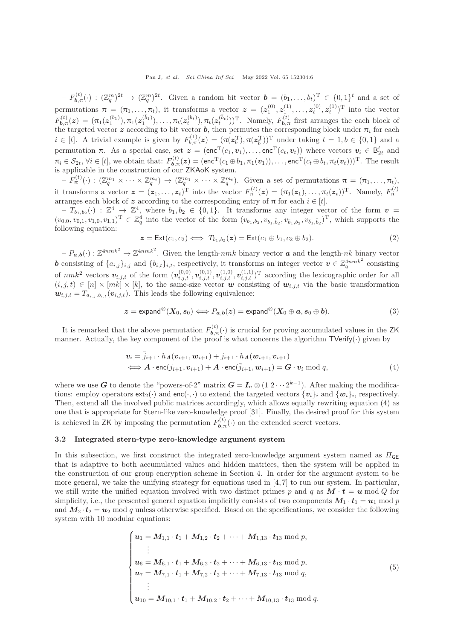$F_{\mathbf{b},\pi}^{(t)}(\cdot) : (\mathbb{Z}_q^m)^{2t} \to (\mathbb{Z}_q^m)^{2t}$ . Given a random bit vector  $\mathbf{b} = (b_1,\ldots,b_t)^{\mathrm{T}} \in \{0,1\}^t$  and a set of permutations  $\pi = (\pi_1, \ldots, \pi_t)$ , it transforms a vector  $\boldsymbol{z} = (z_1^{(0)}, z_1^{(1)}, \ldots, z_t^{(0)}, z_t^{(1)})^T$  into the vector  $F_{\bm{b},\pi}^{(t)}(z) = (\pi_1(z_1^{(b_1)}), \pi_1(z_1^{(\bar{b}_1)}), \ldots, \pi_t(z_t^{(b_t)}), \pi_t(z_t^{(\bar{b}_t)}))^{\mathrm{T}}$ . Namely,  $F_{\bm{b},\pi}^{(t)}$  first arranges the each block of the targeted vector z according to bit vector b, then permutes the corresponding block under  $\pi_i$  for each  $i \in [t]$ . A trivial example is given by  $F_{b,\pi}^{(1)}(z) = (\pi(z_b^T), \pi(z_b^T))^T$  under taking  $t = 1, b \in \{0,1\}$  and a permutation  $\pi$ . As a special case, set  $\mathbf{z} = (\mathbf{enc}^{\mathrm{T}}(c_1, v_1), \dots, \mathbf{enc}^{\mathrm{T}}(c_t, v_t))$  where vectors  $v_i \in \mathsf{B}_{2t}^t$  and  $\pi_i \in S_{2t}, \forall i \in [t],$  we obtain that:  $F_{b,\pi}^{(t)}(z) = (\mathsf{enc}^{\mathrm{T}}(c_1 \oplus b_1, \pi_1(v_1)), \dots, \mathsf{enc}^{\mathrm{T}}(c_t \oplus b_t, \pi_t(v_t)))^{\mathrm{T}}$ . The result is applicable in the construction of our **ZKAoK** system.<br>  $-F^{(t)}(.) \cdot (\mathbb{Z}^{m_1} \times \cdots \times \mathbb{Z}^{m_t}) \rightarrow (\mathbb{Z}^{m_1} \times \cdots \times \mathbb{Z}^{m_t})$ 

 $-F_{\pi}^{(t)}(\cdot):(\mathbb{Z}_q^{m_1}\times\cdots\times\mathbb{Z}_q^{m_t})\to(\mathbb{Z}_q^{m_1}\times\cdots\times\mathbb{Z}_q^{m_t}).$  Given a set of permutations  $\pi=(\pi_1,\ldots,\pi_t),$ it transforms a vector  $\mathbf{z} = (z_1, ..., z_t)^T$  into the vector  $F_{\pi}^{(t)}(z) = (\pi_1(z_1), ..., \pi_t(z_t))^T$ . Namely,  $F_{\pi}^{(t)}$  arranges each block of  $z$  according to the corresponding entry of  $\pi$  for each  $i \in [t]$ .

 $-T_{b_1,b_2}(\cdot) : \mathbb{Z}^4 \longrightarrow \mathbb{Z}^4$ , where  $b_1, b_2 \in \{0,1\}$ . It transforms any integer vector of the form  $v =$  $(v_{0,0}, v_{0,1}, v_{1,0}, v_{1,1})^{\mathrm{T}} \in \mathbb{Z}_q^4$  into the vector of the form  $(v_{b_1,b_2}, v_{b_1,\bar{b}_2}, v_{\bar{b}_1,b_2}, v_{\bar{b}_1,\bar{b}_2})^{\mathrm{T}}$ , which supports the following equation:

$$
z = \text{Ext}(c_1, c_2) \iff T_{b_1, b_2}(z) = \text{Ext}(c_1 \oplus b_1, c_2 \oplus b_2). \tag{2}
$$

 $-P_{a,b}(\cdot): \mathbb{Z}^{4nmk^2} \to \mathbb{Z}^{4nmk^2}$ . Given the length-nmk binary vector a and the length-nk binary vector **b** consisting of  $\{a_{i,j}\}_{i,j}$  and  $\{b_{i,t}\}_{i,t}$ , respectively, it transforms an integer vector  $v \in \mathbb{Z}_q^{4nmk^2}$  consisting of  $nmk^2$  vectors  $v_{i,j,t}$  of the form  $(v_{i,j,t}^{(0,0)}, v_{i,j,t}^{(0,1)}, v_{i,j,t}^{(1,0)}, v_{i,j,t}^{(1,1)})^{\mathrm{T}}$  according the lexicographic order for all  $(i, j, t) \in [n] \times [mk] \times [k]$ , to the same-size vector w consisting of  $w_{i,j,t}$  via the basic transformation  $w_{i,j,t} = T_{a_{i,j},b_{i,t}}(v_{i,j,t})$ . This leads the following equivalence:

<span id="page-5-2"></span>
$$
z = \text{expand}^{\otimes}(X_0, s_0) \Longleftrightarrow P_{a,b}(z) = \text{expand}^{\otimes}(X_0 \oplus a, s_0 \oplus b). \tag{3}
$$

It is remarked that the above permutation  $F_{b,\pi}^{(t)}(\cdot)$  is crucial for proving accumulated values in the ZK manner. Actually, the key component of the proof is what concerns the algorithm  $\mathsf{TVerify}(\cdot)$  given by

<span id="page-5-0"></span>
$$
\begin{aligned} \mathbf{v}_i &= \overline{j}_{i+1} \cdot h_{\mathbf{A}}(\mathbf{v}_{i+1}, \mathbf{w}_{i+1}) + j_{i+1} \cdot h_{\mathbf{A}}(\mathbf{w}_{i+1}, \mathbf{v}_{i+1}) \\ &\Longleftrightarrow \mathbf{A} \cdot \text{enc}(j_{i+1}, \mathbf{v}_{i+1}) + \mathbf{A} \cdot \text{enc}(\overline{j}_{i+1}, \mathbf{w}_{i+1}) = \mathbf{G} \cdot \mathbf{v}_i \bmod q, \end{aligned} \tag{4}
$$

where we use G to denote the "powers-of-2" matrix  $G = I_n \otimes (1 \cdot 2 \cdots 2^{k-1})$ . After making the modifications: employ operators  $ext_2(\cdot)$  and  $enc(\cdot, \cdot)$  to extend the targeted vectors  $\{v_i\}_i$  and  $\{w_i\}_i$ , respectively. Then, extend all the involved public matrices accordingly, which allows equally rewriting equation [\(4\)](#page-5-0) as one that is appropriate for Stern-like zero-knowledge proof [\[31\]](#page-16-23). Finally, the desired proof for this system is achieved in ZK by imposing the permutation  $F_{\mathbf{b},\pi}^{(t)}(\cdot)$  on the extended secret vectors.

### <span id="page-5-3"></span>3.2 Integrated stern-type zero-knowledge argument system

In this subsection, we first construct the integrated zero-knowledge argument system named as  $\Pi_{\mathsf{GE}}$ that is adaptive to both accumulated values and hidden matrices, then the system will be applied in the construction of our group encryption scheme in Section [4.](#page-8-0) In order for the argument system to be more general, we take the unifying strategy for equations used in [\[4,](#page-15-3) [7\]](#page-16-1) to run our system. In particular, we still write the unified equation involved with two distinct primes p and q as  $M \cdot t = u \mod Q$  for simplicity, i.e., the presented general equation implicitly consists of two components  $M_1 \cdot t_1 = u_1 \bmod p$ and  $M_2 \cdot t_2 = u_2$  mod q unless otherwise specified. Based on the specifications, we consider the following system with 10 modular equations:

<span id="page-5-1"></span>
$$
\begin{cases}\n\boldsymbol{u}_{1} = M_{1,1} \cdot \boldsymbol{t}_{1} + M_{1,2} \cdot \boldsymbol{t}_{2} + \cdots + M_{1,13} \cdot \boldsymbol{t}_{13} \bmod p, \\
\vdots \\
\boldsymbol{u}_{6} = M_{6,1} \cdot \boldsymbol{t}_{1} + M_{6,2} \cdot \boldsymbol{t}_{2} + \cdots + M_{6,13} \cdot \boldsymbol{t}_{13} \bmod p, \\
\boldsymbol{u}_{7} = M_{7,1} \cdot \boldsymbol{t}_{1} + M_{7,2} \cdot \boldsymbol{t}_{2} + \cdots + M_{7,13} \cdot \boldsymbol{t}_{13} \bmod q, \\
\vdots \\
\boldsymbol{u}_{10} = M_{10,1} \cdot \boldsymbol{t}_{1} + M_{10,2} \cdot \boldsymbol{t}_{2} + \cdots + M_{10,13} \cdot \boldsymbol{t}_{13} \bmod q.\n\end{cases} (5)
$$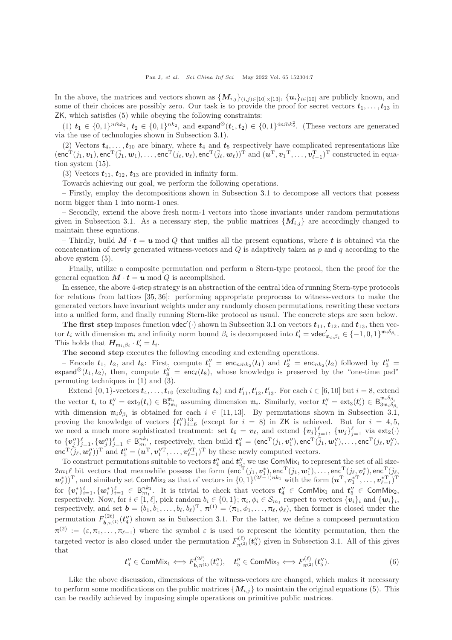In the above, the matrices and vectors shown as  $\{M_{i,j}\}_{(i,j)\in[10]\times[13]}, \{u_i\}_{i\in[10]}$  are publicly known, and some of their choices are possibly zero. Our task is to provide the proof for secret vectors  $t_1, \ldots, t_{13}$  in ZK, which satisfies [\(5\)](#page-5-1) while obeying the following constraints:

 $(1)$   $t_1 \in \{0,1\}^{n\bar{m}k_2}, t_2 \in \{0,1\}^{nk_2}$ , and expand<sup>⊗</sup> $(t_1, t_2) \in \{0,1\}^{4n\bar{m}k_2^2}$ . (These vectors are generated via the use of technologies shown in Subsection [3.1\)](#page-3-1).

(2) Vectors  $t_4, \ldots, t_{10}$  are binary, where  $t_4$  and  $t_5$  respectively have complicated representations like  $(\mathsf{enc}^\mathrm{T}(j_1, \boldsymbol{v}_1), \mathsf{enc}^\mathrm{T}(\bar{j}_1, \boldsymbol{w}_1), \dots, \mathsf{enc}^\mathrm{T}(j_\ell, \boldsymbol{v}_\ell), \mathsf{enc}^\mathrm{T}(\bar{j}_\ell, \boldsymbol{w}_\ell))^\mathrm{T} \text{ and } (\boldsymbol{u}^\mathrm{T}, \boldsymbol{v}_1^\mathrm{T}, \dots, \boldsymbol{v}_{\ell-1}^\mathrm{T})^\mathrm{T} \text{ constructed in equa-1}$ tion system [\(15\)](#page-11-0).

(3) Vectors  $t_{11}$ ,  $t_{12}$ ,  $t_{13}$  are provided in infinity form.

Towards achieving our goal, we perform the following operations.

– Firstly, employ the decompositions shown in Subsection [3.1](#page-3-1) to decompose all vectors that possess norm bigger than 1 into norm-1 ones.

– Secondly, extend the above fresh norm-1 vectors into those invariants under random permutations given in Subsection [3.1.](#page-3-1) As a necessary step, the public matrices  $\{M_{i,j}\}\$ are accordingly changed to maintain these equations.

– Thirdly, build  $M \cdot t = u \mod Q$  that unifies all the present equations, where t is obtained via the concatenation of newly generated witness-vectors and Q is adaptively taken as  $p$  and q according to the above system [\(5\)](#page-5-1).

– Finally, utilize a composite permutation and perform a Stern-type protocol, then the proof for the general equation  $\mathbf{M} \cdot \mathbf{t} = \mathbf{u} \bmod Q$  is accomplished.

In essence, the above 4-step strategy is an abstraction of the central idea of running Stern-type protocols for relations from lattices [\[35,](#page-16-27) [36\]](#page-17-1): performing appropriate preprocess to witness-vectors to make the generated vectors have invariant weights under any randomly chosen permutations, rewriting these vectors into a unified form, and finally running Stern-like protocol as usual. The concrete steps are seen below.

The first step imposes function vdec'(.) shown in Subsection [3.1](#page-3-1) on vectors  $t_{11}$ ,  $t_{12}$ , and  $t_{13}$ , then vector  $t_i$  with dimension  $\mathfrak{m}_i$  and infinity norm bound  $\beta_i$  is decomposed into  $t'_i = \text{vdec}'_{\mathfrak{m}_i, \beta_i} \in \{-1, 0, 1\}^{\mathfrak{m}_i, \delta_{\beta_i}}$ . This holds that  $\boldsymbol{H}_{\mathfrak{m}_i,\beta_i} \cdot \boldsymbol{t}'_i = \boldsymbol{t}_i$ .

The second step executes the following encoding and extending operations.

- Encode  $t_1$ ,  $t_2$ , and  $t_8$ : First, compute  $t''_1$  = enc<sub>n $\bar{m}k_2(t_1)$ </sub> and  $t''_2$  = enc<sub>n $k_2(t_2)$ </sub> followed by  $t''_3$  = expand<sup>⊗</sup>( $t_1, t_2$ ), then, compute  $t''_8 = \mathsf{enc}_\ell(t_8)$ , whose knowledge is preserved by the "one-time pad" permuting techniques in [\(1\)](#page-4-0) and [\(3\)](#page-5-2).

Extend  $\{0,1\}$ -vectors  $t_4, \ldots, t_{10}$  (excluding  $t_8$ ) and  $t'_{11}, t'_{12}, t'_{13}$ . For each  $i \in [6, 10]$  but  $i = 8$ , extend the vector  $t_i$  to  $t_i' = \text{ext}_2(t_i) \in \mathbb{B}_{2m_i}^{m_i}$  assuming dimension  $m_i$ . Similarly, vector  $t_i' = \text{ext}_3(t_i') \in \mathbb{B}_{3m_i\delta_\beta}^{m_i\delta_\beta}$  $3m_i\delta_{\beta_i}$ with dimension  $\mathfrak{m}_i \delta_{\beta_i}$  is obtained for each  $i \in [11, 13]$ . By permutations shown in Subsection [3.1,](#page-3-1) proving the knowledge of vectors  $\{t_i''\}_{i=6}^{13}$  (except for  $i = 8$ ) in ZK is achieved. But for  $i = 4, 5,$ we need a much more sophisticated treatment: set  $t_6 = v_\ell$ , and extend  $\{v_j\}_{j=1}^{\ell}$ ,  $\{w_j\}_{j=1}^{\ell}$  via  $ext_2(\cdot)$ to  $\{v''_j\}_{j=1}^{\ell}$ ,  $\{w''_j\}_{j=1}^{\ell} \in \mathsf{B}_{m_1}^{nk_1}$ , respectively, then build  $t''_4 = (\mathsf{enc}^{\mathrm{T}}(j_1, v''_1), \mathsf{enc}^{\mathrm{T}}(\bar{j}_1, w''_1), \dots, \mathsf{enc}^{\mathrm{T}}(j_\ell, v''_\ell),$  $\mathsf{enc}^{\mathrm{T}}(\bar{j}_{\ell},\bm{w}'_{\ell}))^{\mathrm{T}}$  and  $\bm{t}''_5=(\bm{u}^{\mathrm{T}},\bm{v}''^{\mathrm{T}}_1,\ldots,\bm{v}''^{\mathrm{T}}_{\ell-1})^{\mathrm{T}}$  by these newly computed vectors.

To construct permutations suitable to vectors  $t''_4$  and  $t''_{5}$ , we use ComMix<sub>1</sub> to represent the set of all size- $2m_1\ell$  bit vectors that meanwhile possess the form  $(\text{enc}^T(j_1, \boldsymbol{v}_1^*), \text{enc}^T(\bar{j}_1, \boldsymbol{w}_1^*), \dots, \text{enc}^T(j_\ell, \boldsymbol{v}_\ell^*), \text{enc}^T(\bar{j}_\ell, \boldsymbol{w}_\ell^*), \dots, \text{enc}^T(j_\ell, \boldsymbol{v}_\ell^*), \text{enc}^T(j_\ell, \boldsymbol{w}_\ell^*), \dots, \text{enc}^T(j_\ell, \boldsymbol{w}_\ell^*), \$  $(\boldsymbol{w}_\ell^*)^T$ , and similarly set ComMix<sub>2</sub> as that of vectors in  $\{0,1\}^{(2\ell-1)nk_1}$  with the form  $(\boldsymbol{u}^T, \boldsymbol{v}_1^{*T}, \dots, \boldsymbol{v}_{\ell-1}^{*T})^T$ for  $\{v_i^*\}_{i=1}^{\ell}$ ,  $\{w_i^*\}_{i=1}^{\ell} \in B_{m_1}^{nk_1}$ . It is trivial to check that vectors  $t''_4 \in \text{ComMix}_1$  and  $t''_5 \in \text{ComMix}_2$ , respectively. Now, for  $i \in [1, \ell],$  pick random  $b_i \in \{0, 1\}; \pi_i, \phi_i \in S_{m_1}$  respect to vectors  $\{v_i\}_i$  and  $\{w_i\}_i$ , respectively, and set  $\mathbf{b} = (b_1, b_1, \ldots, b_\ell, b_\ell)^T$ ,  $\pi^{(1)} = (\pi_1, \phi_1, \ldots, \pi_\ell, \phi_\ell)$ , then former is closed under the permutation  $F^{(2\ell)}_{\mathbf{b},\pi^{(1)}}(\mathbf{t}_4'')$  shown as in Subsection [3.1.](#page-3-1) For the latter, we define a composed permutation  $\pi^{(2)} := (\varepsilon, \pi_1, \ldots, \pi_{\ell-1})$  where the symbol  $\varepsilon$  is used to represent the identity permutation, then the targeted vector is also closed under the permutation  $F_{\pi(2)}^{(\ell)}(\mathbf{t}_5'')$  given in Subsection [3.1.](#page-3-1) All of this gives that

$$
\mathbf{t}_4^{\prime\prime} \in \mathsf{ComMix}_1 \Longleftrightarrow F_{\mathbf{b}, \pi^{(1)}}^{(2\ell)}(\mathbf{t}_4^{\prime\prime}), \quad \mathbf{t}_5^{\prime\prime} \in \mathsf{ComMix}_2 \Longleftrightarrow F_{\pi^{(2)}}^{(\ell)}(\mathbf{t}_5^{\prime\prime}).\tag{6}
$$

– Like the above discussion, dimensions of the witness-vectors are changed, which makes it necessary to perform some modifications on the public matrices  ${M_{i,j}}$  to maintain the original equations [\(5\)](#page-5-1). This can be readily achieved by imposing simple operations on primitive public matrices.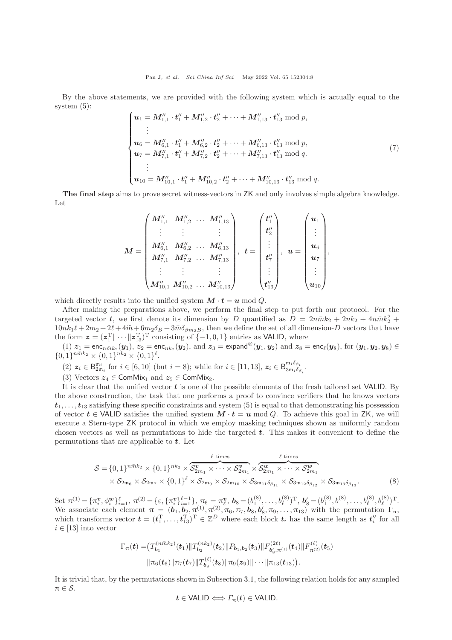By the above statements, we are provided with the following system which is actually equal to the system [\(5\)](#page-5-1):

$$
\begin{cases}\n\mathbf{u}_{1} = \mathbf{M}_{1,1}'' \cdot \mathbf{t}_{1}'' + \mathbf{M}_{1,2}'' \cdot \mathbf{t}_{2}'' + \cdots + \mathbf{M}_{1,13}'' \cdot \mathbf{t}_{13}'' \bmod p, \n\vdots \n\mathbf{u}_{6} = \mathbf{M}_{6,1}'' \cdot \mathbf{t}_{1}'' + \mathbf{M}_{6,2}'' \cdot \mathbf{t}_{2}'' + \cdots + \mathbf{M}_{6,13}'' \cdot \mathbf{t}_{13}'' \bmod p, \n\mathbf{u}_{7} = \mathbf{M}_{7,1}'' \cdot \mathbf{t}_{1}'' + \mathbf{M}_{7,2}'' \cdot \mathbf{t}_{2}'' + \cdots + \mathbf{M}_{7,13}'' \cdot \mathbf{t}_{13}'' \bmod q, \n\vdots \n\mathbf{u}_{10} = \mathbf{M}_{10,1}'' \cdot \mathbf{t}_{1}'' + \mathbf{M}_{10,2}'' \cdot \mathbf{t}_{2}'' + \cdots + \mathbf{M}_{10,13}'' \cdot \mathbf{t}_{13}'' \bmod q. \n\end{cases} (7)
$$

The final step aims to prove secret witness-vectors in ZK and only involves simple algebra knowledge. Let

$$
M = \begin{pmatrix} M_{1,1}^{\prime \prime} & M_{1,2}^{\prime \prime} & \ldots & M_{1,13}^{\prime \prime} \\ \vdots & \vdots & & \vdots \\ M_{6,1}^{\prime \prime} & M_{6,2}^{\prime \prime} & \ldots & M_{6,13}^{\prime \prime} \\ M_{7,1}^{\prime \prime} & M_{7,2}^{\prime \prime} & \ldots & M_{7,13}^{\prime \prime} \\ \vdots & \vdots & & \vdots \\ M_{10,1}^{\prime \prime} & M_{10,2}^{\prime \prime} & \ldots & M_{10,13}^{\prime \prime} \end{pmatrix}, \; \; t = \begin{pmatrix} t_{1}^{\prime \prime} \\ t_{2}^{\prime \prime} \\ \vdots \\ t_{7}^{\prime \prime} \\ \vdots \\ t_{13}^{\prime \prime} \end{pmatrix}, \; \; u = \begin{pmatrix} u_{1} \\ \vdots \\ u_{6} \\ u_{7} \\ \vdots \\ u_{10} \end{pmatrix},
$$

which directly results into the unified system  $M \cdot t = u \mod Q$ .

After making the preparations above, we perform the final step to put forth our protocol. For the targeted vector t, we first denote its dimension by D quantified as  $D = 2n\bar{m}k_2 + 2nk_2 + 4n\bar{m}k_2^2 +$  $10nk_1\ell + 2m_2 + 2\ell + 4\tilde{m} + 6m_2\delta_B + 3\tilde{m}\delta_{\beta m_2B}$ , then we define the set of all dimension-D vectors that have the form  $\boldsymbol{z} = (\boldsymbol{z}_1^{\mathrm{T}} \|\cdots \|\boldsymbol{z}_{13}^{\mathrm{T}})^{\mathrm{T}}$  consisting of  $\{-1,0,1\}$  entries as VALID, where

 $(1)$   $z_1 = \text{enc}_{n\bar{m}k_2}(y_1), z_2 = \text{enc}_{nk_2}(y_2), \text{ and } z_3 = \text{expand}^{\otimes}(y_1, y_2) \text{ and } z_8 = \text{enc}_{\ell}(y_8), \text{ for } (y_1, y_2, y_8) \in$  ${0,1}^{n\bar{m}k_2} \times {0,1}^{nk_2} \times {0,1}^{\ell}.$ 

(2)  $z_i \in \mathsf{B}_{2\mathfrak{m}_i}^{\mathfrak{m}_i}$  for  $i \in [6, 10]$  (but  $i = 8$ ); while for  $i \in [11, 13]$ ,  $z_i \in \mathsf{B}_{3\mathfrak{m}_i\delta_{\beta_i}}^{\mathfrak{m}_i\delta_{\beta_i}}$  $\frac{\mathfrak{m}_i\mathfrak{o}_{\beta_i}}{3\mathfrak{m}_i\delta_{\beta_i}}$ .

(3) Vectors  $z_4 \in \text{ComMix}_1$  and  $z_5 \in \text{ComMix}_2$ .

It is clear that the unified vector  $t$  is one of the possible elements of the fresh tailored set VALID. By the above construction, the task that one performs a proof to convince verifiers that he knows vectors  $t_1, \ldots, t_{13}$  satisfying these specific constraints and system [\(5\)](#page-5-1) is equal to that demonstrating his possession of vector  $t \in \text{VALID}$  satisfies the unified system  $M \cdot t = u \mod Q$ . To achieve this goal in ZK, we will execute a Stern-type ZK protocol in which we employ masking techniques shown as uniformly random chosen vectors as well as permutations to hide the targeted  $t$ . This makes it convenient to define the permutations that are applicable to  $t$ . Let

$$
\mathcal{S} = \{0,1\}^{n\bar{m}k_2} \times \{0,1\}^{nk_2} \times \overbrace{S_{2m_1}^{\mathbf{v}} \times \cdots \times S_{2m_1}^{\mathbf{v}} \times S_{2m_1}^{\mathbf{w}} \times \cdots \times S_{2m_1}^{\mathbf{w}} \times \cdots \times S_{2m_1}^{\mathbf{w}} \times \cdots \times S_{2m_1}^{\mathbf{w}}}
$$
  
\$\times S\_{2m\_6} \times S\_{2m\_7} \times \{0,1\}^{\ell} \times S\_{2m\_9} \times S\_{2m\_{10}} \times S\_{3m\_{11}\delta\_{\beta\_{11}}} \times S\_{3m\_{12}\delta\_{\beta\_{12}}} \times S\_{3m\_{13}\delta\_{\beta\_{13}}}.(8)

Set  $\pi^{(1)} = {\pi_i^v, \phi_i^w}_{i=1}^{\ell}, \pi^{(2)} = {\varepsilon, {\pi_i^v}_{i=1}^{\ell-1}, \pi_6 = \pi_i^v, \mathbf{b}_8 = (b_1^{(8)}, \dots, b_{\ell}^{(8)})^T, \mathbf{b}_8' = (b_1^{(8)}, b_1^{(8)}, \dots, b_{\ell}^{(8)}, b_{\ell}^{(8)})^T}.$ We associate each element  $\pi = (\boldsymbol{b}_1, \boldsymbol{b}_2, \pi^{(1)}, \pi^{(2)}, \pi_6, \pi_7, \boldsymbol{b}_8, \boldsymbol{b}_8', \pi_9, \ldots, \pi_{13})$  with the permutation  $\Gamma_{\pi}$ , which transforms vector  $\boldsymbol{t} = (t_1^T, \ldots, t_{13}^T)^T \in \mathbb{Z}^D$  where each block  $t_i$  has the same length as  $t_i''$  for all  $i \in [13]$  into vector

$$
\Gamma_{\pi}(t) = (T_{b_1}^{(n\bar{m}k_2)}(t_1) \| T_{b_2}^{(nk_2)}(t_2) \| P_{b_1,b_2}(t_3) \| F_{b'_8,\pi^{(1)}}^{(2\ell)}(t_4) \| F_{\pi^{(2)}}^{(\ell)}(t_5) \| \pi_6(t_6) \| \pi_7(t_7) \| T_{b_8}^{(\ell)}(t_8) \| \pi_9(z_9) \| \cdots \| \pi_{13}(t_{13}) ).
$$

It is trivial that, by the permutations shown in Subsection [3.1,](#page-3-1) the following relation holds for any sampled  $\pi \in \mathcal{S}.$ 

$$
t \in \mathsf{VALID} \Longleftrightarrow \varGamma_\pi(t) \in \mathsf{VALID}.
$$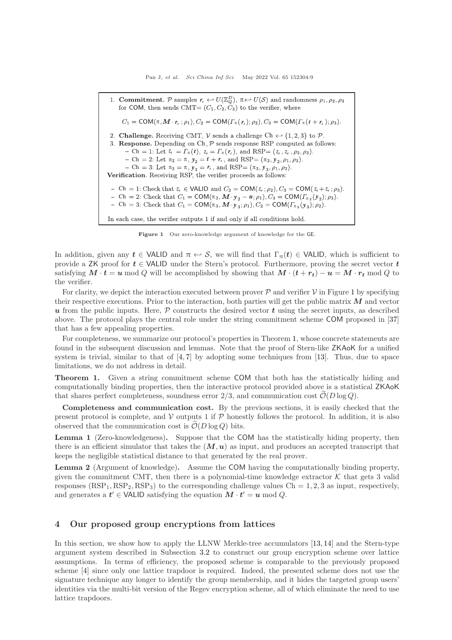<span id="page-8-1"></span> $r_t \leftarrow U(\mathbb{Z}_Q^D)$ ,  $\pi$  $\pi$ ,  $M \cdot r_t$ ;  $\rho_1$ ),  $C_2 = \text{COM}(T_{\pi}(r_t); \rho_2)$ ,  $C_3 = \text{COM}(T_{\pi}(t + r_t))$ 2. Challenge. Receiving CMT,  $V$  sends a challenge Ch  $\leftrightarrow$  {1, 2, 3} to  $P$ . 3. Response. Depending on  $\mathsf{Ch}\xspace, \mathcal{P}\xspace$  sends response RSP computed as follows: *z*<sub>*t*</sub> = *<i>z*<sub>*t*</sub></sup> (*z*<sub>*t*</sub> + *z<sub><i>t*</sub> = *<i>z*<sub>*t*</sub> (*z<sub>t</sub>* + *z<sub>t</sub>* + *z<sub>t</sub>* + *z<sub>t</sub>* + *z<sub>t</sub>* + *z<sub>t</sub>* + *z<sub>t</sub>* + *z<sub>t</sub>* + *z<sub>t</sub>* + *z<sub>t</sub>* + *z<sub>t</sub>* + *z<sub>t</sub>* + *z<sub>t</sub>* + *z<sub>t</sub>* + *z<sub>t</sub>* + *z<sub>t</sub>* + *z<sub>t</sub>* + *z<sub>t</sub>* + *z Ch* = 2: Let  $π_2 = π$ ,  $y_2 = t + r_t$ , and RSP= ( $π_2$ ,  $y$ *Ch* = 3: Let  $\pi_3 = \pi$ ,  $y_3 = r_t$ , and RSP=  $(\pi_3, y)$ Verification. Receiving RSP, the verifier proceeds as follows:  $Ch = 1$ : Check that  $z_t \in \text{VALID}$  and  $C_2 = \text{COM}(z_t; \rho_2), C_3 = \text{COM}(z_t + z_t)$ Ch = 2: Check that  $C_1 = \text{COM}(\pi_2, \mathbf{M} \cdot \mathbf{y}_2 - \mathbf{u}; \rho_1), C_3 = \text{COM}(T_{\pi_2}(\mathbf{y}_1))$ *Ch* = 3: Check that  $C_1 = \text{COM}(\pi_3, \mathbf{M} \cdot \mathbf{y}_3; \rho_1), C_2 = \text{COM}(T_{\pi_3}(\mathbf{y}_3))$ In each case, the verifier outputs 1 if and only if all conditions hold.

Figure 1 Our zero-knowledge argument of knowledge for the GE.

In addition, given any  $t \in \text{VALID}$  and  $\pi \leftrightarrow S$ , we will find that  $\Gamma_{\pi}(t) \in \text{VALID}$ , which is sufficient to provide a ZK proof for  $t \in \text{VALID}$  under the Stern's protocol. Furthermore, proving the secret vector  $t$ satisfying  $M \cdot t = u \mod Q$  will be accomplished by showing that  $M \cdot (t + r_t) - u = M \cdot r_t \mod Q$  to the verifier.

For clarity, we depict the interaction executed between prover  $\mathcal P$  and verifier  $\mathcal V$  in Figure [1](#page-8-1) by specifying their respective executions. Prior to the interaction, both parties will get the public matrix  $M$  and vector u from the public inputs. Here,  $P$  constructs the desired vector t using the secret inputs, as described above. The protocol plays the central role under the string commitment scheme COM proposed in [\[37\]](#page-17-2) that has a few appealing properties.

For completeness, we summarize our protocol's properties in Theorem [1,](#page-8-2) whose concrete statements are found in the subsequent discussion and lemmas. Note that the proof of Stern-like ZKAoK for a unified system is trivial, similar to that of  $[4, 7]$  $[4, 7]$  by adopting some techniques from  $[13]$ . Thus, due to space limitations, we do not address in detail.

<span id="page-8-2"></span>Theorem 1. Given a string commitment scheme COM that both has the statistically hiding and computationally binding properties, then the interactive protocol provided above is a statistical ZKAoK that shares perfect completeness, soundness error  $2/3$ , and communication cost  $\mathcal{O}(D \log Q)$ .

Completeness and communication cost. By the previous sections, it is easily checked that the present protocol is complete, and  $V$  outputs 1 if  $P$  honestly follows the protocol. In addition, it is also observed that the communication cost is  $\mathcal{O}(D \log Q)$  bits.

Lemma 1 (Zero-knowledgeness). Suppose that the COM has the statistically hiding property, then there is an efficient simulator that takes the  $(M, u)$  as input, and produces an accepted transcript that keeps the negligible statistical distance to that generated by the real prover.

Lemma 2 (Argument of knowledge). Assume the COM having the computationally binding property, given the commitment CMT, then there is a polynomial-time knowledge extractor  $K$  that gets 3 valid responses  $(RSP<sub>1</sub>, RSP<sub>2</sub>, RSP<sub>3</sub>)$  to the corresponding challenge values Ch = 1, 2, 3 as input, respectively, and generates a  $t' \in \text{VALID}$  satisfying the equation  $M \cdot t' = u \mod Q$ .

## <span id="page-8-0"></span>4 Our proposed group encryptions from lattices

In this section, we show how to apply the LLNW Merkle-tree accumulators [\[13,](#page-16-7) [14\]](#page-16-8) and the Stern-type argument system described in Subsection [3.2](#page-5-3) to construct our group encryption scheme over lattice assumptions. In terms of efficiency, the proposed scheme is comparable to the previously proposed scheme [\[4\]](#page-15-3) since only one lattice trapdoor is required. Indeed, the presented scheme does not use the signature technique any longer to identify the group membership, and it hides the targeted group users' identities via the multi-bit version of the Regev encryption scheme, all of which eliminate the need to use lattice trapdoors.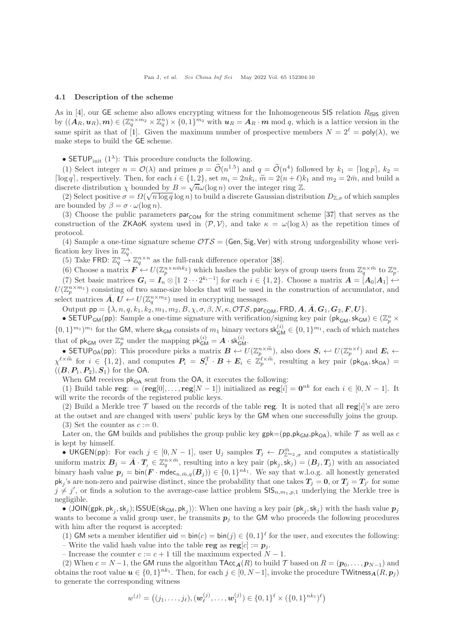#### 4.1 Description of the scheme

As in [\[4\]](#page-15-3), our GE scheme also allows encrypting witness for the Inhomogeneous SIS relation  $R_{\text{ISIS}}$  given by  $((\mathbf{A}_R,\mathbf{u}_R),\mathbf{m})\in(\mathbb{Z}_q^{n\times m_2}\times\mathbb{Z}_q^n)\times\{0,1\}^{m_2}$  with  $\mathbf{u}_R=\mathbf{A}_R\cdot\mathbf{m}$  mod q, which is a lattice version in the same spirit as that of [\[1\]](#page-15-0). Given the maximum number of prospective members  $N = 2^{\ell} = \text{poly}(\lambda)$ , we make steps to build the GE scheme.

• SETUP<sub>init</sub>  $(1^{\lambda})$ : This procedure conducts the following.

(1) Select integer  $n = \mathcal{O}(\lambda)$  and primes  $p = \mathcal{O}(n^{1.5})$  and  $q = \mathcal{O}(n^4)$  followed by  $k_1 = \lceil \log p \rceil$ ,  $k_2 =$  $\lceil \log q \rceil$ , respectively. Then, for each  $i \in \{1,2\}$ , set  $m_i = 2nk_i$ ,  $\widetilde{m} = 2(n+\ell)k_1$  and  $m_2 = 2\overline{m}$ , and build a discrete distribution as homological by  $R$ discrete distribution  $\chi$  bounded by  $B = \sqrt{n}\omega(\log n)$  over the integer ring  $\mathbb{Z}$ .

(2) Select positive  $\sigma = \Omega(\sqrt{n \log q} \log n)$  to build a discrete Gaussian distribution  $D_{\mathbb{Z},\sigma}$  of which samples are bounded by  $\beta = \sigma \cdot \omega(\log n)$ .

(3) Choose the public parameters  $par_{COM}$  for the string commitment scheme [\[37\]](#page-17-2) that serves as the construction of the ZKAoK system used in  $\langle \mathcal{P}, \mathcal{V} \rangle$ , and take  $\kappa = \omega(\log \lambda)$  as the repetition times of protocol.

(4) Sample a one-time signature scheme  $\mathcal{OTS} = (Gen, Sig, Ver)$  with strong unforgeability whose verification key lives in  $\mathbb{Z}_q^n$ .

(5) Take FRD:  $\mathbb{Z}_q^n \to \mathbb{Z}_q^{n \times n}$  as the full-rank difference operator [\[38\]](#page-17-3).

(6) Choose a matrix  $\mathbf{F} \leftarrow U(\mathbb{Z}_p^{n \times n\bar{m}k_2})$  which hashes the public keys of group users from  $\mathbb{Z}_q^{n \times \bar{m}}$  to  $\mathbb{Z}_p^n$ . (7) Set basic matrices  $G_i = I_n \otimes [1 \; 2 \cdots 2^{k_i-1}]$  for each  $i \in \{1,2\}$ . Choose a matrix  $A = [A_0 | A_1] \leftrightarrow \infty$  $U(\mathbb{Z}_p^{n \times m_1})$  consisting of two same-size blocks that will be used in the construction of accumulator, and select matrices  $\bar{A}, U \leftrightarrow U(\mathbb{Z}_q^{n \times m_2})$  used in encrypting messages.

Output  $pp = {\lambda, n, q, k_1, k_2, m_1, m_2, B, \chi, \sigma, \beta, N, \kappa, \mathcal{OTS}, \mathsf{par}_{COM}, \mathsf{FRD}, \mathbf{A}, \mathbf{A}, \mathbf{G}_1, \mathbf{G}_2, \mathbf{F}, \mathbf{U}}$ .

• SETUP<sub>GM</sub>(pp): Sample a one-time signature with verification/signing key pair ( $pk_{GM}$ ,  $sk_{GM}$ )  $\in (\mathbb{Z}_p^n \times$  $\{0,1\}^{m_1})^{m_1}$  for the GM, where sk<sub>GM</sub> consists of  $m_1$  binary vectors sk<sub>GM</sub>  $\in \{0,1\}^{m_1}$ , each of which matches that of  $\mathsf{pk}_{\mathsf{GM}}$  over  $\mathbb{Z}_p^n$  under the mapping  $\mathsf{pk}_{\mathsf{GM}}^{(i)} = A \cdot \mathsf{sk}_{\mathsf{GM}}^{(i)}$ .

• SETUP<sub>OA</sub>(pp): This procedure picks a matrix  $\mathbf{B} \leftarrow U(\mathbb{Z}_p^{n\times \widetilde{m}})$ , also does  $\mathbf{S}_i \leftarrow U(\mathbb{Z}_p^{n\times \ell})$  and  $\mathbf{E}_i \leftarrow$  $\chi^{\ell \times \tilde{m}}$  for  $i \in \{1,2\}$ , and computes  $P_i = S_i^T \cdot B + E_i \in \mathbb{Z}_p^{\ell \times \tilde{m}}$ , resulting a key pair  $(\mathsf{pk}_{\mathsf{OA}}, \mathsf{sk}_{\mathsf{OA}}) =$  $((B, P_1, P_2), S_1)$  for the OA.

When  $\mathsf{GM}$  receives  $\mathsf{pk}_{\mathsf{OA}}$  sent from the  $\mathsf{OA},$  it executes the following:

(1) Build table reg: =  $(\text{reg}[0], \ldots, \text{reg}[N-1])$  initialized as  $\text{reg}[i] = 0^{nk}$  for each  $i \in [0, N-1]$ . It will write the records of the registered public keys.

(2) Build a Merkle tree  $\mathcal T$  based on the records of the table reg. It is noted that all reg[i]'s are zero at the outset and are changed with users' public keys by the GM when one successfully joins the group.

(3) Set the counter as  $c := 0$ .

Later on, the GM builds and publishes the group public key  $gpk=(pp,pk_{GM},pk_{OA})$ , while  $\mathcal T$  as well as c is kept by himself.

• UKGEN(pp): For each  $j \in [0, N-1]$ , user  $\mathsf{U}_j$  samples  $T_j \leftarrow D_{\mathbb{Z}^{m_2},\sigma}^{m}$  and computes a statistically uniform matrix  $B_j = \overline{A} \cdot T_j \in \mathbb{Z}_q^{n \times \overline{m}}$ , resulting into a key pair  $(\mathsf{pk}_j, \mathsf{sk}_j) = (B_j, T_j)$  with an associated binary hash value  $p_j = \text{bin}(F \cdot \text{mdec}_{n,\bar{m},q}(B_j)) \in \{0,1\}^{nk_1}$ . We say that w.l.o.g. all honestly generated  $\mathsf{pk}_j$ 's are non-zero and pairwise distinct, since the probability that one takes  $T_j = 0$ , or  $T_j = T_{j'}$  for some  $j \neq j'$ , or finds a solution to the average-case lattice problem  $\text{SIS}_{n,m_1,p,1}$  underlying the Merkle tree is negligible.

•  $\langle JON(gpk, pk_j, sk_j); ISSUE(sk<sub>GM</sub>, pk<sub>j</sub>)\rangle$ : When one having a key pair  $(pk_j, sk_j)$  with the hash value  $p_j$ wants to become a valid group user, he transmits  $p_i$  to the GM who proceeds the following procedures with him after the request is accepted:

(1) GM sets a member identifier  $\text{uid} = \text{bin}(c) = \text{bin}(j) \in \{0,1\}^{\ell}$  for the user, and executes the following: – Write the valid hash value into the table reg as  $reg[c] := p_j$ .

– Increase the counter  $c := c + 1$  till the maximum expected  $N - 1$ .

(2) When  $c = N - 1$ , the GM runs the algorithm  $\text{TAcc}_{\mathbf{A}}(R)$  to build  $\mathcal T$  based on  $R = (\mathbf{p}_0, \ldots, \mathbf{p}_{N-1})$  and obtains the root value  $u \in \{0,1\}^{nk_1}$ . Then, for each  $j \in [0, N-1]$ , invoke the procedure TWitness  $A(R, p_j)$ to generate the corresponding witness

$$
w^{(j)} = ((j_1, \ldots, j_\ell), (\boldsymbol{w}^{(j)}_\ell, \ldots, \boldsymbol{w}^{(j)}_1) \in \{0, 1\}^\ell \times (\{0, 1\}^{nk_1})^\ell)
$$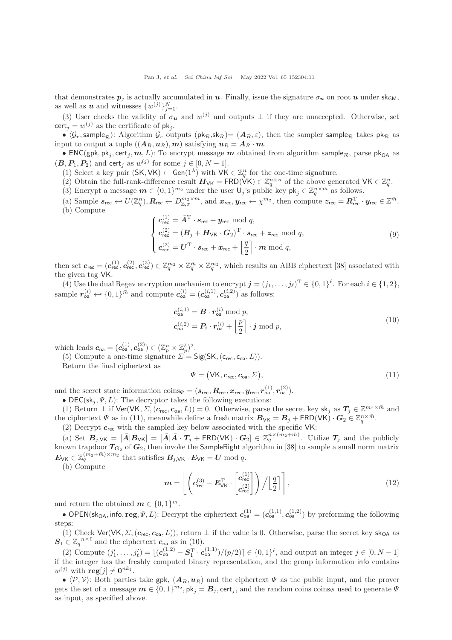that demonstrates  $p_i$  is actually accumulated in u. Finally, issue the signature  $\sigma_u$  on root u under sk<sub>GM</sub>, as well as **u** and witnesses  $\{w^{(j)}\}_{j=1}^N$ .

(3) User checks the validity of  $\sigma_{\mathbf{u}}$  and  $w^{(j)}$  and outputs  $\perp$  if they are unaccepted. Otherwise, set  $\textsf{cert}_j = w^{(j)}$  as the certificate of  $\mathsf{pk}_j$ .

•  $\langle \mathcal{G}_r$ , sample<sub>R</sub>): Algorithm  $\mathcal{G}_r$  outputs (pk<sub>R</sub>,sk<sub>R</sub>)=  $(A_R, \varepsilon)$ , then the sampler sample<sub>R</sub> takes pk<sub>R</sub> as input to output a tuple  $((\boldsymbol{A}_R,\boldsymbol{u}_R),\boldsymbol{m})$  satisfying  $\boldsymbol{u}_R = \boldsymbol{A}_R \cdot \boldsymbol{m}$ .

 $\bullet$  ENC(gpk, pk<sub>j</sub>, cert<sub>j</sub>,  $m$ , L): To encrypt message  $m$  obtained from algorithm sample<sub>R</sub>, parse pk<sub>OA</sub> as  $(\mathbf{B}, \mathbf{P}_1, \mathbf{P}_2)$  and cert<sub>j</sub> as  $w^{(j)}$  for some  $j \in [0, N-1]$ .

(1) Select a key pair  $(SK, VK) \leftarrow Gen(1^{\lambda})$  with  $VK \in \mathbb{Z}_q^n$  for the one-time signature.

(2) Obtain the full-rank-difference result  $H_{\mathsf{VK}} = \mathsf{FRD}(\mathsf{VK}) \in \mathbb{Z}_q^{n \times n}$  of the above generated  $\mathsf{VK} \in \mathbb{Z}_q^n$ .

(3) Encrypt a message  $\mathbf{m} \in \{0,1\}^{m_2}$  under the user  $\mathsf{U}_j$ 's public key  $\mathsf{pk}_j \in \mathbb{Z}_q^{n \times \bar{m}}$  as follows.

(a) Sample  $s_{\text{rec}} \leftarrow U(\mathbb{Z}_q^n)$ ,  $R_{\text{rec}} \leftarrow D_{\mathbb{Z},\sigma}^{m_2 \times \bar{m}}$ , and  $x_{\text{rec}}, y_{\text{rec}} \leftarrow \chi^{m_2}$ , then compute  $z_{\text{rec}} = \mathbf{R}_{\text{rec}}^T \cdot y_{\text{rec}} \in \mathbb{Z}^{\bar{m}}$ . (b) Compute

<span id="page-10-2"></span>
$$
\begin{cases}\nc_{\text{rec}}^{(1)} = \bar{A}^{\text{T}} \cdot s_{\text{rec}} + y_{\text{rec}} \mod q, \\
c_{\text{rec}}^{(2)} = (\bar{B}_j + H_{\text{VK}} \cdot \bar{G}_2)^{\text{T}} \cdot s_{\text{rec}} + z_{\text{rec}} \mod q, \\
c_{\text{rec}}^{(3)} = \bar{U}^{\text{T}} \cdot s_{\text{rec}} + x_{\text{rec}} + \left\lfloor \frac{q}{2} \right\rfloor \cdot m \mod q,\n\end{cases}
$$
\n(9)

then set  $c_{\text{rec}} = (c_{\text{rec}}^{(1)}, c_{\text{rec}}^{(2)}, c_{\text{rec}}^{(3)}) \in \mathbb{Z}_q^{m_2} \times \mathbb{Z}_q^{\bar{m}} \times \mathbb{Z}_q^{m_2}$ , which results an ABB ciphertext [\[38\]](#page-17-3) associated with the given tag VK.

(4) Use the dual Regev encryption mechanism to encrypt  $\mathbf{j} = (j_1, \ldots, j_\ell)^T \in \{0,1\}^\ell$ . For each  $i \in \{1,2\}$ , sample  $r_{oa}^{(i)} \leftarrow \{0, 1\}^{\tilde{m}}$  and compute  $c_{oa}^{(i)} = (c_{oa}^{(i,1)}, c_{oa}^{(i,2)})$  as follows:

<span id="page-10-1"></span>
$$
\mathbf{c}_{\mathsf{oa}}^{(i,1)} = \mathbf{B} \cdot \mathbf{r}_{\mathsf{oa}}^{(i)} \bmod p,
$$
  
\n
$$
\mathbf{c}_{\mathsf{oa}}^{(i,2)} = \mathbf{P}_i \cdot \mathbf{r}_{\mathsf{oa}}^{(i)} + \left\lfloor \frac{p}{2} \right\rfloor \cdot \mathbf{j} \bmod p,
$$
\n(10)

which leads  $\boldsymbol{c}_{\mathsf{oa}} = (\boldsymbol{c}_{\mathsf{oa}}^{(1)}, \boldsymbol{c}_{\mathsf{oa}}^{(2)}) \in (\mathbb{Z}_p^n \times \mathbb{Z}_p^{\ell})^2$ .

(5) Compute a one-time signature  $\Sigma = \mathsf{Sig}(\mathsf{SK},(\mathsf{c}_{\mathsf{rec}},\mathsf{c}_{\mathsf{oa}},L)).$ 

Return the final ciphertext as

<span id="page-10-0"></span>
$$
\Psi = (\mathsf{VK}, \mathbf{c}_{\mathsf{rec}}, \mathbf{c}_{\mathsf{oa}}, \Sigma),\tag{11}
$$

and the secret state information  $\text{coins}_{\Psi} = (\mathbf{s}_{\text{rec}}, \mathbf{R}_{\text{rec}}, \mathbf{x}_{\text{rec}}, \mathbf{y}_{\text{rec}}, r_{\text{oa}}^{(1)}, r_{\text{oa}}^{(2)})$ .

• DEC(s $k_j, \Psi, L$ ): The decryptor takes the following executions:

(1) Return  $\perp$  if  $\text{Ver}(VK, \Sigma, (c_{\text{rec}}, c_{\text{oa}}, L)) = 0$ . Otherwise, parse the secret key skj as  $T_j \in \mathbb{Z}^{m_2 \times \bar{m}}$  and the ciphertext  $\Psi$  as in [\(11\)](#page-10-0), meanwhile define a fresh matrix  $B_{\mathsf{VK}} = B_j + \mathsf{FRD}(\mathsf{VK}) \cdot G_2 \in \mathbb{Z}_q^{n \times \bar{m}}$ .

(2) Decrypt  $c_{\text{rec}}$  with the sampled key below associated with the specific VK:

(a) Set  $B_{j, \forall K} = [\bar{A} | B_{\forall K}] = [\bar{A} | \bar{A} \cdot T_j + \text{FRD}(\forall K) \cdot G_2] \in \mathbb{Z}_q^{n \times (m_2 + \bar{m})}$ . Utilize  $T_j$  and the publicly known trapdoor  $T_{G_2}$  of  $G_2$ , then invoke the SampleRight algorithm in [\[38\]](#page-17-3) to sample a small norm matrix  $E_{\forall K} \in \mathbb{Z}_q^{(m_2 + \bar{m}) \times m_2}$  that satisfies  $B_{j,\forall K} \cdot E_{\forall K} = U \bmod q$ .

(b) Compute

$$
\boldsymbol{m} = \left\lfloor \left( c_{\text{rec}}^{(3)} - \boldsymbol{E}_{\text{VK}}^{\text{T}} \cdot \begin{bmatrix} c_{\text{rec}}^{(1)} \\ c_{\text{rec}}^{(2)} \end{bmatrix} \right) / \begin{bmatrix} \frac{q}{2} \\ \end{bmatrix} \right\rceil, \tag{12}
$$

and return the obtained  $\boldsymbol{m} \in \{0,1\}^m$ .

• OPEN(sk<sub>OA</sub>, info, reg,  $\Psi$ , L): Decrypt the ciphertext  $\mathbf{c}_{oa}^{(1)} = (\mathbf{c}_{oa}^{(1,1)}, \mathbf{c}_{oa}^{(1,2)})$  by preforming the following steps:

(1) Check Ver(VK,  $\Sigma$ ,  $(c_{rec}, c_{oa}, L)$ ), return  $\bot$  if the value is 0. Otherwise, parse the secret key sk<sub>OA</sub> as  $S_1 \in \mathbb{Z}_q^{n \times \ell}$  and the ciphertext  $c_{\infty}$  as in [\(10\)](#page-10-1).

(2) Compute  $(j'_1, \ldots, j'_\ell) = \lfloor (c_{\text{oa}}^{(1,2)} - S_1^{\text{T}} \cdot c_{\text{oa}}^{(1,1)})/(p/2) \rceil \in \{0,1\}^\ell$ , and output an integer  $j \in [0, N-1]$ if the integer has the freshly computed binary representation, and the group information info contains  $w^{(j)}$  with  $\mathbf{reg}[j] \neq \mathbf{0}^{nk_1}$ .

•  $\langle \mathcal{P}, \mathcal{V} \rangle$ : Both parties take gpk,  $(A_R, u_R)$  and the ciphertext  $\Psi$  as the public input, and the prover gets the set of a message  $m \in \{0,1\}^{m_2}$ ,  $\mathsf{pk}_j = B_j$ , cert<sub>j</sub>, and the random coins coins<sub>V</sub> used to generate  $\Psi$ as input, as specified above.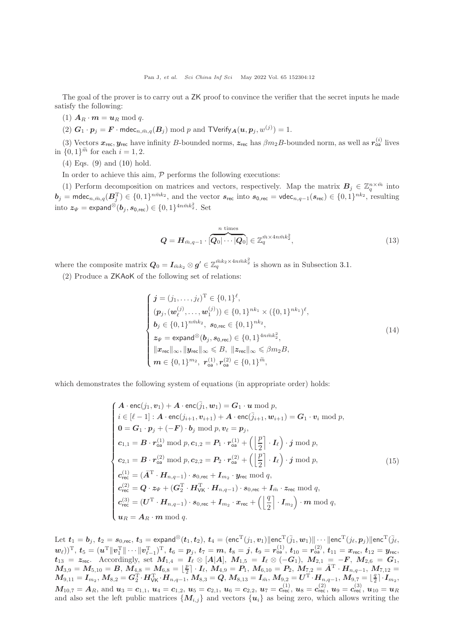The goal of the prover is to carry out a ZK proof to convince the verifier that the secret inputs he made satisfy the following:

(1)  $A_R \cdot m = u_R \bmod q$ .

(2)  $G_1 \cdot p_j = F \cdot \text{mdec}_{n, \bar{m}, q}(B_j) \text{ mod } p$  and  $\text{TVerify}_{\mathbf{A}}(u, p_j, w^{(j)}) = 1$ .

(3) Vectors  $x_{\text{rec}}, y_{\text{rec}}$  have infinity B-bounded norms,  $z_{\text{rec}}$  has  $\beta m_2 B$ -bounded norm, as well as  $r_{\text{oa}}^{(i)}$  lives in  $\{0, 1\}^{\tilde{m}}$  for each  $i = 1, 2$ .

(4) Eqs. [\(9\)](#page-10-2) and [\(10\)](#page-10-1) hold.

In order to achieve this aim,  $P$  performs the following executions:

(1) Perform decomposition on matrices and vectors, respectively. Map the matrix  $B_j \in \mathbb{Z}_q^{n \times \bar{m}}$  into  $\bm{b}_j = \mathsf{mdec}_{n,\bar{m},q}(\bm{B}_j^{\mathrm{T}}) \in \{0,1\}^{n\bar{m}k_2}$ , and the vector  $\bm{s}_{\mathsf{rec}}$  into  $\bm{s}_{0,\mathsf{rec}} = \mathsf{vdec}_{n,q-1}(\bm{s}_{\mathsf{rec}}) \in \{0,1\}^{nk_2}$ , resulting into  $\boldsymbol{z}_{\boldsymbol{\varPsi}}=\textsf{expand}^{\otimes}(\boldsymbol{b}_j,\boldsymbol{s}_{0,\textsf{rec}})\in\{0,1\}^{4n\bar{m}k_2^2}.$  Set

$$
\mathbf{Q} = \mathbf{H}_{\bar{m}, q-1} \cdot \left[ \overbrace{\mathbf{Q}_0 | \cdots | \mathbf{Q}_0}^{n \text{ times}} \right] \in \mathbb{Z}_q^{\bar{m} \times 4n \bar{m} k_2^2},\tag{13}
$$

where the composite matrix  $Q_0 = I_{\bar{m}k_2} \otimes g' \in \mathbb{Z}_q^{\bar{m}k_2 \times 4n\bar{m}k_2^2}$  is shown as in Subsection [3.1.](#page-3-1)

(2) Produce a ZKAoK of the following set of relations:

$$
\begin{cases}\n\boldsymbol{j} = (j_1, \ldots, j_\ell)^{\mathrm{T}} \in \{0, 1\}^\ell, \\
(\boldsymbol{p}_j, (\boldsymbol{w}_\ell^{(j)}, \ldots, \boldsymbol{w}_1^{(j)})) \in \{0, 1\}^{nk_1} \times (\{0, 1\}^{nk_1})^\ell, \\
\boldsymbol{b}_j \in \{0, 1\}^{n\bar{m}k_2}, \ \boldsymbol{s}_{0, \text{rec}} \in \{0, 1\}^{nk_2}, \\
\boldsymbol{z}_{\Psi} = \text{expand}^{\otimes}(\boldsymbol{b}_j, \boldsymbol{s}_{0, \text{rec}}) \in \{0, 1\}^{4n\bar{m}k_2^2}, \\
\|\boldsymbol{x}_{\text{rec}}\|_{\infty}, \|\boldsymbol{y}_{\text{rec}}\|_{\infty} \leq B, \ \|\boldsymbol{z}_{\text{rec}}\|_{\infty} \leq \beta m_2 B, \\
\boldsymbol{m} \in \{0, 1\}^{m_2}, \ \boldsymbol{r}_{\text{oa}}^{(1)}, \boldsymbol{r}_{\text{oa}}^{(2)} \in \{0, 1\}^{\bar{m}},\n\end{cases} \tag{14}
$$

which demonstrates the following system of equations (in appropriate order) holds:

<span id="page-11-0"></span>
$$
\begin{cases}\n\mathbf{A} \cdot \text{enc}(j_1, v_1) + \mathbf{A} \cdot \text{enc}(\bar{j}_1, w_1) = \mathbf{G}_1 \cdot \mathbf{u} \bmod p, \\
i \in [\ell - 1] : \mathbf{A} \cdot \text{enc}(j_{i+1}, v_{i+1}) + \mathbf{A} \cdot \text{enc}(\bar{j}_{i+1}, w_{i+1}) = \mathbf{G}_1 \cdot v_i \bmod p, \\
\mathbf{0} = \mathbf{G}_1 \cdot p_j + (-\mathbf{F}) \cdot b_j \bmod p, v_\ell = p_j, \\
c_{1,1} = \mathbf{B} \cdot r_{\text{oa}}^{(1)} \bmod p, c_{1,2} = \mathbf{P}_1 \cdot r_{\text{oa}}^{(1)} + (\left\lfloor \frac{p}{2} \right\rfloor \cdot I_\ell) \cdot j \bmod p, \\
c_{2,1} = \mathbf{B} \cdot r_{\text{oa}}^{(2)} \bmod p, c_{2,2} = \mathbf{P}_2 \cdot r_{\text{oa}}^{(2)} + (\left\lfloor \frac{p}{2} \right\rfloor \cdot I_\ell) \cdot j \bmod p, \\
c_{\text{rec}}^{(1)} = (\mathbf{A}^{\mathrm{T}} \cdot \mathbf{H}_{n,q-1}) \cdot s_{0,\text{rec}} + \mathbf{I}_{m_2} \cdot y_{\text{rec}} \bmod q, \\
c_{\text{rec}}^{(2)} = \mathbf{Q} \cdot z_{\Psi} + (\mathbf{G}_2^{\mathrm{T}} \cdot \mathbf{H}_{\text{W}}^{\mathrm{T}} \cdot \mathbf{H}_{n,q-1}) \cdot s_{0,\text{rec}} + \mathbf{I}_{\bar{m}} \cdot z_{\text{rec}} \bmod q, \\
c_{\text{rec}}^{(3)} = (\mathbf{U}^{\mathrm{T}} \cdot \mathbf{H}_{n,q-1}) \cdot s_{0,\text{rec}} + \mathbf{I}_{m_2} \cdot x_{\text{rec}} + (\left\lfloor \frac{q}{2} \right\rfloor \cdot \mathbf{I}_{m_2}) \cdot m \bmod q, \\
\mathbf{u}_R = \mathbf{A}_R \cdot m \bmod q.\n\end{cases}
$$
\n(15)

Let  $t_1 = b_j$ ,  $t_2 = s_{0,\text{rec}}, t_3 = \text{expand}^{\otimes}(t_1, t_2)$ ,  $t_4 = (\text{enc}^{\text{T}}(j_1, v_1)\|\text{enc}^{\text{T}}(\bar{j}_1, w_1)\|\cdots\|\text{enc}^{\text{T}}(j_\ell, p_j)\|\text{enc}^{\text{T}}(\bar{j}_\ell, w_1)\|$  $\langle w_\ell) \rangle^\text{T}, \ t_5 = (u^\text{T} \| v_1^\text{T} \| \cdots \| v_{\ell-1}^\text{T})^\text{T}, \ t_6 = p_j, \ t_7 = m, \ t_8 = j, \ t_9 = r_\text{o}^{(1)}, \ t_{10} = r_\text{o}^{(2)}, \ t_{11} = x_\text{rec}, \ t_{12} = y_\text{rec},$  $t_{13} = z_{\text{rec}}$ . Accordingly, set  $M_{1,4} = I_{\ell} \otimes [A|A], M_{1,5} = I_{\ell} \otimes (-G_1), M_{2,1} = -F, M_{2,6} = G_1,$  $M_{3,9}=M_{5,10}=B,\, M_{4,8}=M_{6,8}=\lfloor{\frac{p}{2}}\rfloor\cdot I_{\ell},\, M_{4,9}=P_1,\, M_{6,10}=P_2,\, M_{7,2}=\bar{A}^{\rm T}\cdot H_{n,q-1},\, M_{7,12}=P_{1,2}$  $M_{9,11}=I_{m_2},\,M_{8,2}=G_2^{\rm T}\cdot H_{\rm VK}^{\rm T}\cdot H_{n,q-1},\,M_{8,3}=Q,\,M_{8,13}=I_{\bar m},\,M_{9,2}=U^{\rm T}\cdot H_{n,q-1},\,M_{9,7}=\lfloor\frac{q}{2}\rfloor\cdot I_{m_2},$  $\bm{M}_{10,7}=\bm{A}_{R}, \text{ and } \bm{u}_{3}=\bm{c}_{1,1},\ \bm{u}_{4}=\bm{c}_{1,2},\ \bm{u}_{5}=\bm{c}_{2,1},\ \bm{u}_{6}=\bm{c}_{2,2},\ \bm{u}_{7}=\bm{c}_{\textsf{rec}}^{(1)},\ \bm{u}_{8}=\bm{c}_{\textsf{rec}}^{(2)},\ \bm{u}_{9}=\bm{c}_{\textsf{rec}}^{(3)},\ \bm{u}_{10}=\bm{u}_{R}$ and also set the left public matrices  $\{M_{i,j}\}\$ and vectors  $\{u_i\}\$ as being zero, which allows writing the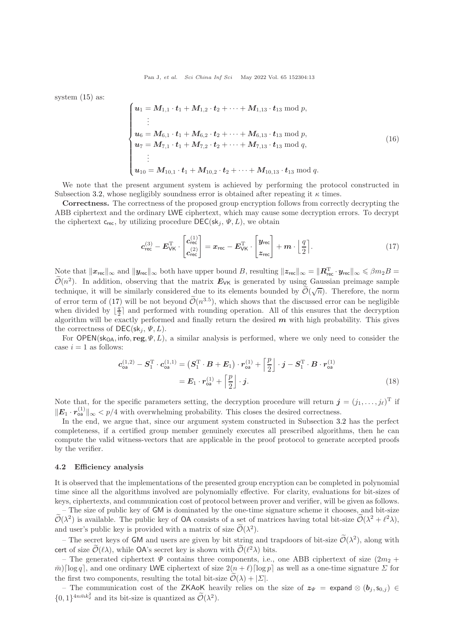system [\(15\)](#page-11-0) as:

$$
\begin{cases}\n\boldsymbol{u}_{1} = M_{1,1} \cdot \boldsymbol{t}_{1} + M_{1,2} \cdot \boldsymbol{t}_{2} + \cdots + M_{1,13} \cdot \boldsymbol{t}_{13} \text{ mod } p, \\
\vdots \\
\boldsymbol{u}_{6} = M_{6,1} \cdot \boldsymbol{t}_{1} + M_{6,2} \cdot \boldsymbol{t}_{2} + \cdots + M_{6,13} \cdot \boldsymbol{t}_{13} \text{ mod } p, \\
\boldsymbol{u}_{7} = M_{7,1} \cdot \boldsymbol{t}_{1} + M_{7,2} \cdot \boldsymbol{t}_{2} + \cdots + M_{7,13} \cdot \boldsymbol{t}_{13} \text{ mod } q, \\
\vdots \\
\boldsymbol{u}_{10} = M_{10,1} \cdot \boldsymbol{t}_{1} + M_{10,2} \cdot \boldsymbol{t}_{2} + \cdots + M_{10,13} \cdot \boldsymbol{t}_{13} \text{ mod } q.\n\end{cases} (16)
$$

We note that the present argument system is achieved by performing the protocol constructed in Subsection [3.2,](#page-5-3) whose negligibly soundness error is obtained after repeating it  $\kappa$  times.

Correctness. The correctness of the proposed group encryption follows from correctly decrypting the ABB ciphertext and the ordinary LWE ciphertext, which may cause some decryption errors. To decrypt the ciphertext  $c_{rec}$ , by utilizing procedure  $DEC(\mathsf{sk}_i, \Psi, L)$ , we obtain

<span id="page-12-0"></span>
$$
c_{\text{rec}}^{(3)} - E_{\text{VK}}^{\text{T}} \cdot \begin{bmatrix} c_{\text{rec}}^{(1)} \\ c_{\text{rec}}^{(2)} \end{bmatrix} = x_{\text{rec}} - E_{\text{VK}}^{\text{T}} \cdot \begin{bmatrix} y_{\text{rec}} \\ z_{\text{rec}} \end{bmatrix} + m \cdot \begin{bmatrix} \frac{q}{2} \\ \end{bmatrix}.
$$
 (17)

Note that  $||x_{\text{rec}}||_{\infty}$  and  $||y_{\text{rec}}||_{\infty}$  both have upper bound B, resulting  $||z_{\text{rec}}||_{\infty} = ||\mathbf{R}_{\text{rec}}^{\text{T}} \cdot y_{\text{rec}}||_{\infty} \leqslant \beta m_2 B =$  $\widetilde{\mathcal{O}}(n^2)$ . In addition, observing that the matrix  $E_{\forall K}$  is generated by using Gaussian preimage sample technique, it will be similarly considered due to its elements bounded by  $\tilde{\mathcal{O}}(\sqrt{n})$ . Therefore, the norm of error term of [\(17\)](#page-12-0) will be not beyond  $\mathcal{O}(n^{3.5})$ , which shows that the discussed error can be negligible when divided by  $\lfloor \frac{q}{2} \rfloor$  and performed with rounding operation. All of this ensures that the decryption algorithm will be exactly performed and finally return the desired  $m$  with high probability. This gives the correctness of  $DEC(\mathsf{sk}_i, \Psi, L)$ .

For OPEN(sk<sub>OA</sub>, info, reg,  $\Psi$ , L), a similar analysis is performed, where we only need to consider the case  $i = 1$  as follows:

$$
\mathbf{c}_{\mathsf{oa}}^{(1,2)} - \mathbf{S}_1^{\mathrm{T}} \cdot \mathbf{c}_{\mathsf{oa}}^{(1,1)} = \left( \mathbf{S}_1^{\mathrm{T}} \cdot \mathbf{B} + \mathbf{E}_1 \right) \cdot \mathbf{r}_{\mathsf{oa}}^{(1)} + \left[ \frac{p}{2} \right] \cdot \mathbf{j} - \mathbf{S}_1^{\mathrm{T}} \cdot \mathbf{B} \cdot \mathbf{r}_{\mathsf{oa}}^{(1)}
$$

$$
= \mathbf{E}_1 \cdot \mathbf{r}_{\mathsf{oa}}^{(1)} + \left[ \frac{p}{2} \right] \cdot \mathbf{j}.
$$
(18)

Note that, for the specific parameters setting, the decryption procedure will return  $\boldsymbol{j} = (j_1, \ldots, j_\ell)^T$  if  $||\mathbf{E}_1 \cdot \mathbf{r}_{\text{oa}}^{(1)}||_{\infty} < p/4$  with overwhelming probability. This closes the desired correctness.

In the end, we argue that, since our argument system constructed in Subsection [3.2](#page-5-3) has the perfect completeness, if a certified group member genuinely executes all prescribed algorithms, then he can compute the valid witness-vectors that are applicable in the proof protocol to generate accepted proofs by the verifier.

#### 4.2 Efficiency analysis

It is observed that the implementations of the presented group encryption can be completed in polynomial time since all the algorithms involved are polynomially effective. For clarity, evaluations for bit-sizes of keys, ciphertexts, and communication cost of protocol between prover and verifier, will be given as follows.

– The size of public key of GM is dominated by the one-time signature scheme it chooses, and bit-size  $\mathcal{O}(\lambda^2)$  is available. The public key of OA consists of a set of matrices having total bit-size  $\mathcal{O}(\lambda^2 + \ell^2 \lambda)$ , and user's public key is provided with a matrix of size  $\mathcal{O}(\lambda^2)$ .

– The secret keys of **GM** and users are given by bit string and trapdoors of bit-size  $\mathcal{O}(\lambda^2)$ , along with cert of size  $\tilde{\mathcal{O}}(\ell \lambda)$ , while OA's secret key is shown with  $\tilde{\mathcal{O}}(\ell^2 \lambda)$  bits.

– The generated ciphertext  $\Psi$  contains three components, i.e., one ABB ciphertext of size  $(2m_2 +$  $\bar{m}$  [log q], and one ordinary LWE ciphertext of size  $2(n + \ell)$  [log p] as well as a one-time signature  $\Sigma$  for the first two components, resulting the total bit-size  $\widetilde{\mathcal{O}}(\lambda) + |\Sigma|$ .

– The communication cost of the ZKAoK heavily relies on the size of  $z_{\Psi}$  = expand ⊗  $(b_i, s_{0,i}) \in$  $\{0,1\}^{4n\bar{m}k_2^2}$  and its bit-size is quantized as  $\widetilde{\mathcal{O}}(\lambda^2)$ .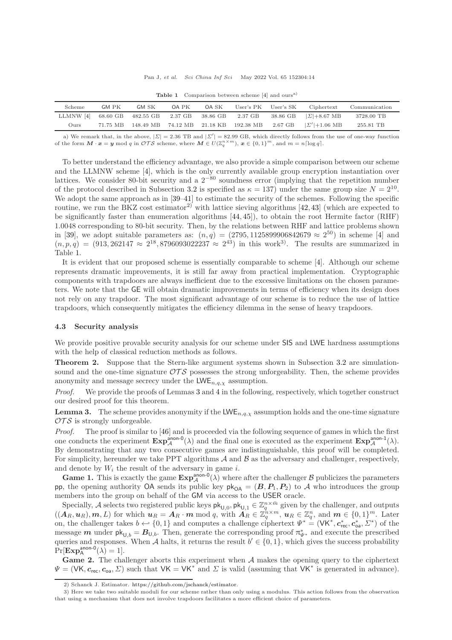<span id="page-13-0"></span>

| Scheme                                                | GM PK | GM SK | OA PK | OA SK | User's PK User's SK                                    |          | Ciphertext           | Communication |
|-------------------------------------------------------|-------|-------|-------|-------|--------------------------------------------------------|----------|----------------------|---------------|
| LLMNW [4] 68.60 GB 482.55 GB 2.37 GB 38.86 GB 2.37 GB |       |       |       |       |                                                        | 38.86 GB | $ \Sigma  + 8.67$ MB | 3728.00 TB    |
| Ours                                                  |       |       |       |       | 71.75 MB 148.49 MB 74.12 MB 21.18 KB 192.38 MB 2.67 GB |          | $ \Sigma' +1.06$ MB  | 255.81 TB     |

Table 1 Comparison between scheme [\[4\]](#page-15-3) and ours<sup>a)</sup>

a) We remark that, in the above,  $|\Sigma| = 2.36$  TB and  $|\Sigma'| = 82.99$  GB, which directly follows from the use of one-way function of the form  $M \cdot x = y \mod q$  in  $\mathcal{OTS}$  scheme, where  $M \in U(\mathbb{Z}_q^{n \times m})$ ,  $x \in \{0,1\}^m$ , and  $m = n \lceil \log q \rceil$ .

To better understand the efficiency advantage, we also provide a simple comparison between our scheme and the LLMNW scheme [\[4\]](#page-15-3), which is the only currently available group encryption instantiation over lattices. We consider 80-bit security and a 2−<sup>80</sup> soundness error (implying that the repetition number of the protocol described in Subsection [3.2](#page-5-3) is specified as  $\kappa = 137$ ) under the same group size  $N = 2^{10}$ . We adopt the same approach as in  $[39-41]$  to estimate the security of the schemes. Following the specific routine, we run the BKZ cost estimator<sup>2)</sup> with lattice sieving algorithms  $[42, 43]$  $[42, 43]$  (which are expected to be significantly faster than enumeration algorithms [\[44,](#page-17-8) [45\]](#page-17-9)), to obtain the root Hermite factor (RHF) 1.0048 corresponding to 80-bit security. Then, by the relations between RHF and lattice problems shown in [\[39\]](#page-17-4), we adopt suitable parameters as:  $(n,q) = (2795, 1125899906842679 \approx 2^{50})$  in scheme [\[4\]](#page-15-3) and  $(n, p, q) = (913, 262147 \approx 2^{18}, 8796093022237 \approx 2^{43})$  in this work<sup>3</sup>. The results are summarized in Table [1.](#page-13-0)

It is evident that our proposed scheme is essentially comparable to scheme [\[4\]](#page-15-3). Although our scheme represents dramatic improvements, it is still far away from practical implementation. Cryptographic components with trapdoors are always inefficient due to the excessive limitations on the chosen parameters. We note that the GE will obtain dramatic improvements in terms of efficiency when its design does not rely on any trapdoor. The most significant advantage of our scheme is to reduce the use of lattice trapdoors, which consequently mitigates the efficiency dilemma in the sense of heavy trapdoors.

### 4.3 Security analysis

We provide positive provable security analysis for our scheme under SIS and LWE hardness assumptions with the help of classical reduction methods as follows.

Theorem 2. Suppose that the Stern-like argument systems shown in Subsection [3.2](#page-5-3) are simulationsound and the one-time signature  $\mathcal{OTS}$  possesses the strong unforgeability. Then, the scheme provides anonymity and message secrecy under the  $LWE_{n,q,\chi}$  assumption.

Proof. We provide the proofs of Lemmas [3](#page-13-1) and [4](#page-14-0) in the following, respectively, which together construct our desired proof for this theorem.

<span id="page-13-1"></span>**Lemma 3.** The scheme provides anonymity if the  $LWE_{n,q,\chi}$  assumption holds and the one-time signature  $\mathcal{O} \mathcal{T} \mathcal{S}$  is strongly unforgeable.

Proof. The proof is similar to [\[46\]](#page-17-10) and is proceeded via the following sequence of games in which the first one conducts the experiment  $\mathbf{Exp}_{\mathcal{A}}^{\text{anon-0}}(\lambda)$  and the final one is executed as the experiment  $\mathbf{Exp}_{\mathcal{A}}^{\text{anon-1}}(\lambda)$ . By demonstrating that any two consecutive games are indistinguishable, this proof will be completed. For simplicity, hereunder we take PPT algorithms  $A$  and  $B$  as the adversary and challenger, respectively, and denote by  $W_i$  the result of the adversary in game i.

**Game 1.** This is exactly the game  $\text{Exp}_{\mathcal{A}}^{\text{anon-0}}(\lambda)$  where after the challenger  $\mathcal{B}$  publicizes the parameters pp, the opening authority OA sends its public key  $pk_{OA} = (B, P_1, P_2)$  to A who introduces the group members into the group on behalf of the GM via access to the USER oracle.

Specially, A selects two registered public keys  $\mathsf{pk}_{\mathsf{U},0}$ ,  $\mathsf{pk}_{\mathsf{U},1} \in \mathbb{Z}_q^{n \times \bar{m}}$  given by the challenger, and outputs  $((\overline{A}_R, u_R), m, L)$  for which  $u_R = A_R \cdot m \mod q$ , with  $\overline{A}_R \in \mathbb{Z}_q^{n \times m}$ ,  $u_R \in \mathbb{Z}_q^n$ , and  $m \in \{0, 1\}^m$ . Later on, the challenger takes  $b \leftarrow \{0, 1\}$  and computes a challenge ciphertext  $\Psi^* = (\mathsf{V}\mathsf{K}^*, \mathbf{c}_{\mathsf{rec}}^*, \mathbf{c}_{\mathsf{oa}}^*, \Sigma^*)$  of the message **m** under  $pk_{U,b} = B_{U,b}$ . Then, generate the corresponding proof  $\pi^*_{\Psi^*}$  and execute the prescribed queries and responses. When A halts, it returns the result  $b' \in \{0, 1\}$ , which gives the success probability  $Pr[\mathbf{Exp}^{\text{anon-0}}_{\mathsf{A}}(\lambda)=1].$ 

**Game 2.** The challenger aborts this experiment when  $A$  makes the opening query to the ciphertext  $\Psi = (\mathsf{VK}, \mathbf{c}_{\mathsf{rec}}, \mathbf{c}_{\mathsf{oa}}, \Sigma)$  such that  $\mathsf{VK} = \mathsf{VK}^*$  and  $\Sigma$  is valid (assuming that  $\mathsf{VK}^*$  is generated in advance).

<sup>2)</sup> Schanck J. Estimator. [https://github.com/jschanck/estimator.](https://github.com/jschanck/estimator)

<sup>3)</sup> Here we take two suitable moduli for our scheme rather than only using a modulus. This action follows from the observation that using a mechanism that does not involve trapdoors facilitates a more efficient choice of parameters.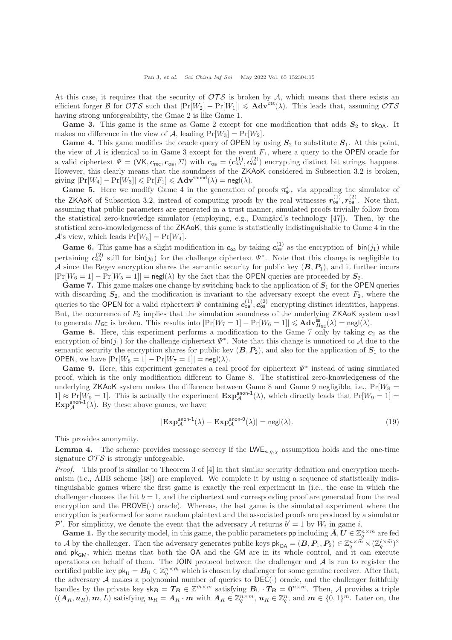At this case, it requires that the security of  $\mathcal{OTS}$  is broken by A, which means that there exists an efficient forger B for  $\mathcal{OTS}$  such that  $|\Pr[W_2] - \Pr[W_1]| \leqslant \mathbf{Adv}^{ots}(\lambda)$ . This leads that, assuming  $\mathcal{OTS}$ having strong unforgeability, the Gmae 2 is like Game 1.

Game 3. This game is the same as Game 2 except for one modification that adds  $S_2$  to sk<sub>OA</sub>. It makes no difference in the view of A, leading  $Pr[W_3] = Pr[W_2]$ .

**Game 4.** This game modifies the oracle query of OPEN by using  $S_2$  to substitute  $S_1$ . At this point, the view of  $A$  is identical to in Game 3 except for the event  $F_1$ , where a query to the OPEN oracle for a valid ciphertext  $\Psi = (\mathsf{VK}, \mathbf{c}_{\mathsf{rec}}, \mathbf{c}_{\mathsf{oa}}, \Sigma)$  with  $\mathbf{c}_{\mathsf{oa}} = (\mathbf{c}_{\mathsf{oa}}^{(1)}, \mathbf{c}_{\mathsf{oa}}^{(2)})$  encrypting distinct bit strings, happens. However, this clearly means that the soundness of the ZKAoK considered in Subsection [3.2](#page-5-3) is broken, giving  $|\Pr[W_4] - \Pr[W_3]| \leqslant \Pr[F_1] \leqslant \mathbf{Adv}^{\mathsf{sound}}(\lambda) = \mathsf{negl}(\lambda).$ 

Game 5. Here we modify Game 4 in the generation of proofs  $\pi_{\Psi^*}^*$  via appealing the simulator of the ZKAoK of Subsection [3.2,](#page-5-3) instead of computing proofs by the real witnesses  $r_{oa}^{(1)}$ ,  $r_{oa}^{(2)}$ . Note that, assuming that public parameters are generated in a trust manner, simulated proofs trivially follow from the statistical zero-knowledge simulator (employing, e.g., Damgård's technology [\[47\]](#page-17-11)). Then, by the statistical zero-knowledgeness of the ZKAoK, this game is statistically indistinguishable to Game 4 in the  $\mathcal{A}$ 's view, which leads  $Pr[W_5] = Pr[W_4]$ .

**Game 6.** This game has a slight modification in  $c_{oa}$  by taking  $c_{oa}^{(1)}$  as the encryption of  $\text{bin}(j_1)$  while pertaining  $c_{\text{oa}}^{(2)}$  still for bin(j<sub>0</sub>) for the challenge ciphertext  $\Psi^*$ . Note that this change is negligible to A since the Regev encryption shares the semantic security for public key  $(B, P_1)$ , and it further incurs  $|\Pr[W_6 = 1] - \Pr[W_5 = 1]| = \mathsf{negl}(\lambda)$  by the fact that the OPEN queries are proceeded by  $S_2$ .

Game 7. This game makes one change by switching back to the application of  $S_1$  for the OPEN queries with discarding  $S_2$ , and the modification is invariant to the adversary except the event  $F_2$ , where the queries to the OPEN for a valid ciphertext  $\Psi$  containing  $c_{0a}^{(1)}, c_{0a}^{(2)}$  encrypting distinct identities, happens. But, the occurrence of  $F_2$  implies that the simulation soundness of the underlying ZKAoK system used to generate  $\Pi_{\mathsf{GE}}$  is broken. This results into  $|\Pr[W_7 = 1] - \Pr[W_6 = 1]| \leqslant \mathbf{Adv}_{\Pi_{\mathsf{GE}}}^{\mathsf{ss}}(\lambda) = \mathsf{negl}(\lambda)$ .

**Game 8.** Here, this experiment performs a modification to the Game 7 only by taking  $c_2$  as the encryption of  $\text{bin}(j_1)$  for the challenge ciphertext  $\Psi^*$ . Note that this change is unnoticed to A due to the semantic security the encryption shares for public key  $(B, P_2)$ , and also for the application of  $S_1$  to the OPEN, we have  $|\Pr[W_8 = 1] - \Pr[W_7 = 1]| = \mathsf{negl}(\lambda)$ .

Game 9. Here, this experiment generates a real proof for ciphertext  $\Psi^*$  instead of using simulated proof, which is the only modification different to Game 8. The statistical zero-knowledgeness of the underlying ZKAoK system makes the difference between Game 8 and Game 9 negligible, i.e.,  $Pr[W_8 =$  $1] \approx \Pr[W_9 = 1]$ . This is actually the experiment  $\text{Exp}_{\mathcal{A}}^{\text{anon-1}}(\lambda)$ , which directly leads that  $\Pr[W_9 = 1] =$  $\text{Exp}_{\mathcal{A}}^{\text{anon-1}}(\lambda)$ . By these above games, we have

$$
|\mathbf{Exp}_{\mathcal{A}}^{\text{anon-1}}(\lambda) - \mathbf{Exp}_{\mathcal{A}}^{\text{anon-0}}(\lambda)| = \mathsf{negl}(\lambda). \tag{19}
$$

This provides anonymity.

<span id="page-14-0"></span>**Lemma 4.** The scheme provides message secrecy if the  $LWE_{n,q,\chi}$  assumption holds and the one-time signature  $\mathcal{O} \mathcal{T} \mathcal{S}$  is strongly unforgeable.

Proof. This proof is similar to Theorem 3 of [\[4\]](#page-15-3) in that similar security definition and encryption mechanism (i.e., ABB scheme [\[38\]](#page-17-3)) are employed. We complete it by using a sequence of statistically indistinguishable games where the first game is exactly the real experiment in (i.e., the case in which the challenger chooses the bit  $b = 1$ , and the ciphertext and corresponding proof are generated from the real encryption and the  $PROVE(\cdot)$  oracle). Whereas, the last game is the simulated experiment where the encryption is performed for some random plaintext and the associated proofs are produced by a simulator P'. For simplicity, we denote the event that the adversary A returns  $b' = 1$  by  $W_i$  in game i.

**Game 1.** By the security model, in this game, the public parameters pp including  $\bar{A}, U \in \mathbb{Z}_q^{n \times m}$  are fed to A by the challenger. Then the adversary generates public keys  $\mathsf{pk}_{\mathsf{OA}} = (\mathcal{B}, P_1, P_2) \in \mathbb{Z}_q^{n \times \widetilde{m}} \times (\mathbb{Z}_q^{\ell \times \widetilde{m}})^2$ and  $pk_{GM}$ , which means that both the OA and the GM are in its whole control, and it can execute operations on behalf of them. The JOIN protocol between the challenger and  $A$  is run to register the certified public key  $\mathsf{pk}_{\mathsf{U}} = \mathbf{B}_{\mathsf{U}} \in \mathbb{Z}_q^{n \times \bar{m}}$  which is chosen by challenger for some genuine receiver. After that, the adversary A makes a polynomial number of queries to  $DEC(\cdot)$  oracle, and the challenger faithfully handles by the private key  $\mathbf{s}_{B} = T_{B} \in \mathbb{Z}^{\bar{m} \times m}$  satisfying  $B_{\mathsf{U}} \cdot T_{B} = \mathbf{0}^{n \times m}$ . Then, A provides a triple  $((\boldsymbol{A}_R,\boldsymbol{u}_R),\boldsymbol{m}, L)$  satisfying  $\boldsymbol{u}_R = \boldsymbol{A}_R \cdot \boldsymbol{m}$  with  $\boldsymbol{A}_R \in \mathbb{Z}_q^{n \times m}$ ,  $\boldsymbol{u}_R \in \mathbb{Z}_q^n$ , and  $\boldsymbol{m} \in \{0,1\}^m$ . Later on, the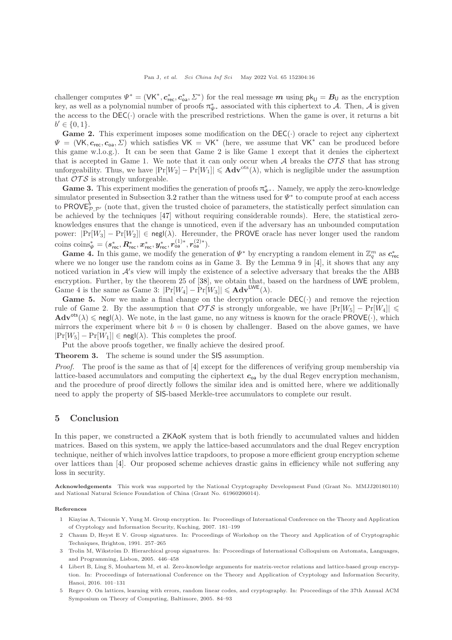challenger computes  $\Psi^* = (\mathsf{VK}^*, c^*_{\mathsf{rec}}, c^*_{\mathsf{oa}}, \Sigma^*)$  for the real message  $m$  using  $\mathsf{pk}_{\mathsf{U}} = \mathbf{B}_{\mathsf{U}}$  as the encryption key, as well as a polynomial number of proofs  $\pi^*_{\Psi^*}$  associated with this ciphertext to A. Then, A is given the access to the  $DEC(\cdot)$  oracle with the prescribed restrictions. When the game is over, it returns a bit  $b' \in \{0, 1\}.$ 

**Game 2.** This experiment imposes some modification on the  $DEC(\cdot)$  oracle to reject any ciphertext  $\Psi = (VK, c_{rec}, c_{oa}, \Sigma)$  which satisfies  $VK = VK^*$  (here, we assume that  $VK^*$  can be produced before this game w.l.o.g.). It can be seen that Game 2 is like Game 1 except that it denies the ciphertext that is accepted in Game 1. We note that it can only occur when  $A$  breaks the  $\mathcal{OTS}$  that has strong unforgeability. Thus, we have  $|\Pr[W_2] - \Pr[W_1]| \leq A d v^{ots}(\lambda)$ , which is negligible under the assumption that  $\mathcal{O} \mathcal{T} \mathcal{S}$  is strongly unforgeable.

**Game 3.** This experiment modifies the generation of proofs  $\pi_{\Psi^*}^*$ . Namely, we apply the zero-knowledge simulator presented in Subsection [3.2](#page-5-3) rather than the witness used for  $\Psi^*$  to compute proof at each access to PROVE $^b_{\mathcal{P},\mathcal{P}'}$  (note that, given the trusted choice of parameters, the statistically perfect simulation can be achieved by the techniques [\[47\]](#page-17-11) without requiring considerable rounds). Here, the statistical zeroknowledges ensures that the change is unnoticed, even if the adversary has an unbounded computation power:  $|\Pr[W_3] - \Pr[W_2]| \in \mathsf{negl}(\lambda)$ . Hereunder, the PROVE oracle has never longer used the random  ${\rm coins\,\, coins}^*_V = (\bm{s}^*_{{\rm rec}}, \bm{R}^*_{{\rm rec}}, \bm{x}^*_{{\rm rec}}, \bm{y}^*_{{\rm rec}}, \bm{r}_{\mathrm{oa}}^{(1)*}, \bm{r}_{\mathrm{oa}}^{(2)*}).$ 

**Game 4.** In this game, we modify the generation of  $\Psi^*$  by encrypting a random element in  $\mathbb{Z}_q^m$  as  $c^*_{\text{rec}}$ where we no longer use the random coins as in Game 3. By the Lemma 9 in  $[4]$ , it shows that any any noticed variation in  $\mathcal{A}'s$  view will imply the existence of a selective adversary that breaks the the ABB encryption. Further, by the theorem 25 of [\[38\]](#page-17-3), we obtain that, based on the hardness of LWE problem, Game 4 is the same as Game 3:  $|\Pr[W_4] - \Pr[W_3]| \leqslant \mathbf{Adv}^{\mathsf{LWE}}(\lambda)$ .

**Game 5.** Now we make a final change on the decryption oracle  $DEC(\cdot)$  and remove the rejection rule of Game 2. By the assumption that  $\mathcal{OTS}$  is strongly unforgeable, we have  $|\Pr[W_5] - \Pr[W_4]| \leq$  $\mathbf{Adv}^{\mathsf{ots}}(\lambda) \leqslant \mathsf{negl}(\lambda)$ . We note, in the last game, no any witness is known for the oracle PROVE(·), which mirrors the experiment where bit  $b = 0$  is chosen by challenger. Based on the above games, we have  $|\Pr[W_5] - \Pr[W_1]| \in \operatorname{negl}(\lambda)$ . This completes the proof.

Put the above proofs together, we finally achieve the desired proof.

Theorem 3. The scheme is sound under the SIS assumption.

Proof. The proof is the same as that of [\[4\]](#page-15-3) except for the differences of verifying group membership via lattice-based accumulators and computing the ciphertext  $c_{\alpha}$  by the dual Regev encryption mechanism, and the procedure of proof directly follows the similar idea and is omitted here, where we additionally need to apply the property of SIS-based Merkle-tree accumulators to complete our result.

## <span id="page-15-5"></span>5 Conclusion

In this paper, we constructed a  $ZKAoK$  system that is both friendly to accumulated values and hidden matrices. Based on this system, we apply the lattice-based accumulators and the dual Regev encryption technique, neither of which involves lattice trapdoors, to propose a more efficient group encryption scheme over lattices than [\[4\]](#page-15-3). Our proposed scheme achieves drastic gains in efficiency while not suffering any loss in security.

Acknowledgements This work was supported by the National Cryptography Development Fund (Grant No. MMJJ20180110) and National Natural Science Foundation of China (Grant No. 61960206014).

<span id="page-15-0"></span>References

- 1 Kiayias A, Tsiounis Y, Yung M. Group encryption. In: Proceedings of International Conference on the Theory and Application of Cryptology and Information Security, Kuching, 2007. 181–199
- <span id="page-15-1"></span>2 Chaum D, Heyst E V. Group signatures. In: Proceedings of Workshop on the Theory and Application of of Cryptographic Techniques, Brighton, 1991. 257–265
- <span id="page-15-2"></span>3 Trolin M, Wikström D. Hierarchical group signatures. In: Proceedings of International Colloquium on Automata, Languages, and Programming, Lisbon, 2005. 446–458
- <span id="page-15-3"></span>4 Libert B, Ling S, Mouhartem M, et al. Zero-knowledge arguments for matrix-vector relations and lattice-based group encryption. In: Proceedings of International Conference on the Theory and Application of Cryptology and Information Security, Hanoi, 2016. 101–131
- <span id="page-15-4"></span>5 Regev O. On lattices, learning with errors, random linear codes, and cryptography. In: Proceedings of the 37th Annual ACM Symposium on Theory of Computing, Baltimore, 2005. 84–93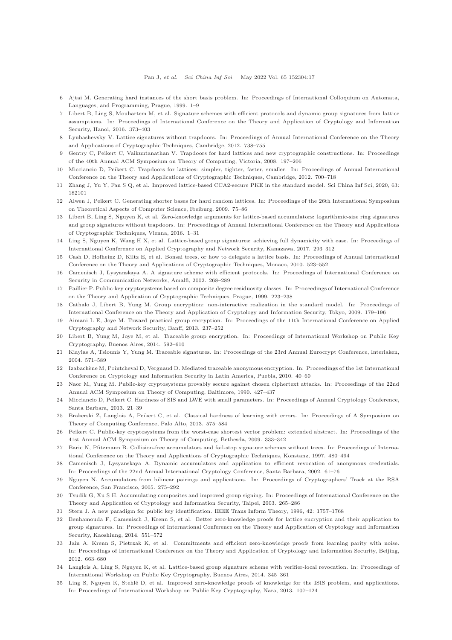- <span id="page-16-1"></span><span id="page-16-0"></span>6 Ajtai M. Generating hard instances of the short basis problem. In: Proceedings of International Colloquium on Automata, Languages, and Programming, Prague, 1999. 1–9
- 7 Libert B, Ling S, Mouhartem M, et al. Signature schemes with efficient protocols and dynamic group signatures from lattice assumptions. In: Proceedings of International Conference on the Theory and Application of Cryptology and Information Security, Hanoi, 2016. 373–403
- <span id="page-16-3"></span><span id="page-16-2"></span>8 Lyubashevsky V. Lattice signatures without trapdoors. In: Proceedings of Annual International Conference on the Theory and Applications of Cryptographic Techniques, Cambridge, 2012. 738–755
- <span id="page-16-4"></span>9 Gentry C, Peikert C, Vaikuntanathan V. Trapdoors for hard lattices and new cryptographic constructions. In: Proceedings of the 40th Annual ACM Symposium on Theory of Computing, Victoria, 2008. 197–206
- <span id="page-16-5"></span>10 Micciancio D, Peikert C. Trapdoors for lattices: simpler, tighter, faster, smaller. In: Proceedings of Annual International Conference on the Theory and Applications of Cryptographic Techniques, Cambridge, 2012. 700–718
- <span id="page-16-6"></span>11 Zhang J, Yu Y, Fan S Q, et al. Improved lattice-based CCA2-secure PKE in the standard model. [Sci China Inf Sci,](https://doi.org/10.1007/s11432-019-9861-3) 2020, 63: 182101
- <span id="page-16-7"></span>12 Alwen J, Peikert C. Generating shorter bases for hard random lattices. In: Proceedings of the 26th International Symposium on Theoretical Aspects of Computer Science, Freiburg, 2009. 75–86
- 13 Libert B, Ling S, Nguyen K, et al. Zero-knowledge arguments for lattice-based accumulators: logarithmic-size ring signatures and group signatures without trapdoors. In: Proceedings of Annual International Conference on the Theory and Applications of Cryptographic Techniques, Vienna, 2016. 1–31
- <span id="page-16-9"></span><span id="page-16-8"></span>14 Ling S, Nguyen K, Wang H X, et al. Lattice-based group signatures: achieving full dynamicity with ease. In: Proceedings of International Conference on Applied Cryptography and Network Security, Kanazawa, 2017. 293–312
- <span id="page-16-10"></span>15 Cash D, Hofheinz D, Kiltz E, et al. Bonsai trees, or how to delegate a lattice basis. In: Proceedings of Annual International Conference on the Theory and Applications of Cryptographic Techniques, Monaco, 2010. 523–552
- <span id="page-16-11"></span>16 Camenisch J, Lysyanskaya A. A signature scheme with efficient protocols. In: Proceedings of International Conference on Security in Communication Networks, Amalfi, 2002. 268–289
- <span id="page-16-12"></span>17 Paillier P. Public-key cryptosystems based on composite degree residuosity classes. In: Proceedings of International Conference on the Theory and Application of Cryptographic Techniques, Prague, 1999. 223–238
- <span id="page-16-13"></span>18 Cathalo J, Libert B, Yung M. Group encryption: non-interactive realization in the standard model. In: Proceedings of International Conference on the Theory and Application of Cryptology and Information Security, Tokyo, 2009. 179–196
- 19 Aimani L E, Joye M. Toward practical group encryption. In: Proceedings of the 11th International Conference on Applied Cryptography and Network Security, Banff, 2013. 237–252
- <span id="page-16-14"></span>20 Libert B, Yung M, Joye M, et al. Traceable group encryption. In: Proceedings of International Workshop on Public Key Cryptography, Buenos Aires, 2014. 592–610
- <span id="page-16-16"></span><span id="page-16-15"></span>21 Kiayias A, Tsiounis Y, Yung M. Traceable signatures. In: Proceedings of the 23rd Annual Eurocrypt Conference, Interlaken, 2004. 571–589
- <span id="page-16-17"></span>22 Izabachène M, Pointcheval D, Vergnaud D. Mediated traceable anonymous encryption. In: Proceedings of the 1st International Conference on Cryptology and Information Security in Latin America, Puebla, 2010. 40–60
- <span id="page-16-18"></span>23 Naor M, Yung M. Public-key cryptosystems provably secure against chosen ciphertext attacks. In: Proceedings of the 22nd Annual ACM Symposium on Theory of Computing, Baltimore, 1990. 427–437
- <span id="page-16-19"></span>24 Micciancio D, Peikert C. Hardness of SIS and LWE with small parameters. In: Proceedings of Annual Cryptology Conference, Santa Barbara, 2013. 21–39
- <span id="page-16-20"></span>25 Brakerski Z, Langlois A, Peikert C, et al. Classical hardness of learning with errors. In: Proceedings of A Symposium on Theory of Computing Conference, Palo Alto, 2013. 575–584
- <span id="page-16-21"></span>26 Peikert C. Public-key cryptosystems from the worst-case shortest vector problem: extended abstract. In: Proceedings of the 41st Annual ACM Symposium on Theory of Computing, Bethesda, 2009. 333–342
- 27 Baric N, Pfitzmann B. Collision-free accumulators and fail-stop signature schemes without trees. In: Proceedings of International Conference on the Theory and Applications of Cryptographic Techniques, Konstanz, 1997. 480–494
- 28 Camenisch J, Lysyanskaya A. Dynamic accumulators and application to efficient revocation of anonymous credentials. In: Proceedings of the 22nd Annual International Cryptology Conference, Santa Barbara, 2002. 61–76
- 29 Nguyen N. Accumulators from bilinear pairings and applications. In: Proceedings of Cryptographers' Track at the RSA Conference, San Francisco, 2005. 275–292
- <span id="page-16-22"></span>30 Tsudik G, Xu S H. Accumulating composites and improved group signing. In: Proceedings of International Conference on the Theory and Application of Cryptology and Information Security, Taipei, 2003. 265–286
- <span id="page-16-24"></span><span id="page-16-23"></span>31 Stern J. A new paradigm for public key identification. [IEEE Trans Inform Theory,](https://doi.org/10.1109/18.556672) 1996, 42: 1757–1768
- 32 Benhamouda F, Camenisch J, Krenn S, et al. Better zero-knowledge proofs for lattice encryption and their application to group signatures. In: Proceedings of International Conference on the Theory and Application of Cryptology and Information Security, Kaoshiung, 2014. 551–572
- <span id="page-16-25"></span>33 Jain A, Krenn S, Pietrzak K, et al. Commitments and efficient zero-knowledge proofs from learning parity with noise. In: Proceedings of International Conference on the Theory and Application of Cryptology and Information Security, Beijing, 2012. 663–680
- <span id="page-16-26"></span>Langlois A, Ling S, Nguyen K, et al. Lattice-based group signature scheme with verifier-local revocation. In: Proceedings of International Workshop on Public Key Cryptography, Buenos Aires, 2014. 345–361
- <span id="page-16-27"></span>35 Ling S, Nguyen K, Stehl´e D, et al. Improved zero-knowledge proofs of knowledge for the ISIS problem, and applications. In: Proceedings of International Workshop on Public Key Cryptography, Nara, 2013. 107–124